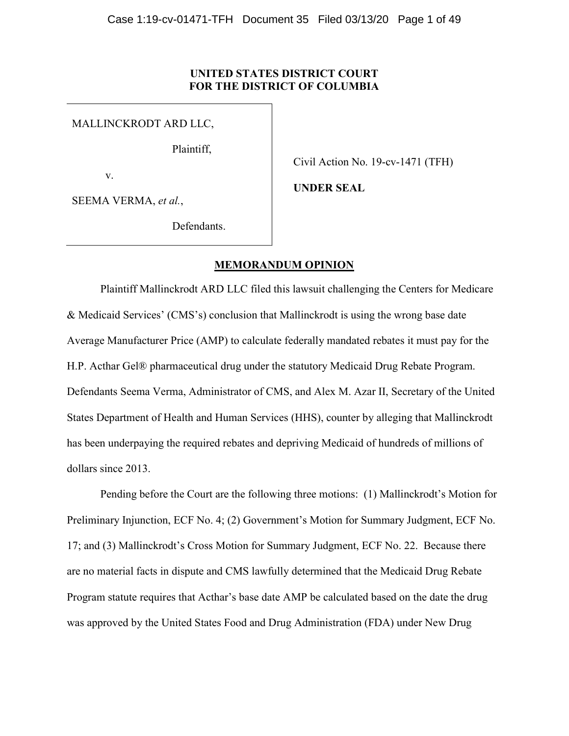### UNITED STATES DISTRICT COURT FOR THE DISTRICT OF COLUMBIA

MALLINCKRODT ARD LLC,

Plaintiff,

v.

Civil Action No. 19-cv-1471 (TFH)

UNDER SEAL

SEEMA VERMA, et al.,

Defendants.

## MEMORANDUM OPINION

Plaintiff Mallinckrodt ARD LLC filed this lawsuit challenging the Centers for Medicare & Medicaid Services' (CMS's) conclusion that Mallinckrodt is using the wrong base date Average Manufacturer Price (AMP) to calculate federally mandated rebates it must pay for the H.P. Acthar Gel® pharmaceutical drug under the statutory Medicaid Drug Rebate Program. Defendants Seema Verma, Administrator of CMS, and Alex M. Azar II, Secretary of the United States Department of Health and Human Services (HHS), counter by alleging that Mallinckrodt has been underpaying the required rebates and depriving Medicaid of hundreds of millions of dollars since 2013.

Pending before the Court are the following three motions: (1) Mallinckrodt's Motion for Preliminary Injunction, ECF No. 4; (2) Government's Motion for Summary Judgment, ECF No. 17; and (3) Mallinckrodt's Cross Motion for Summary Judgment, ECF No. 22. Because there are no material facts in dispute and CMS lawfully determined that the Medicaid Drug Rebate Program statute requires that Acthar's base date AMP be calculated based on the date the drug was approved by the United States Food and Drug Administration (FDA) under New Drug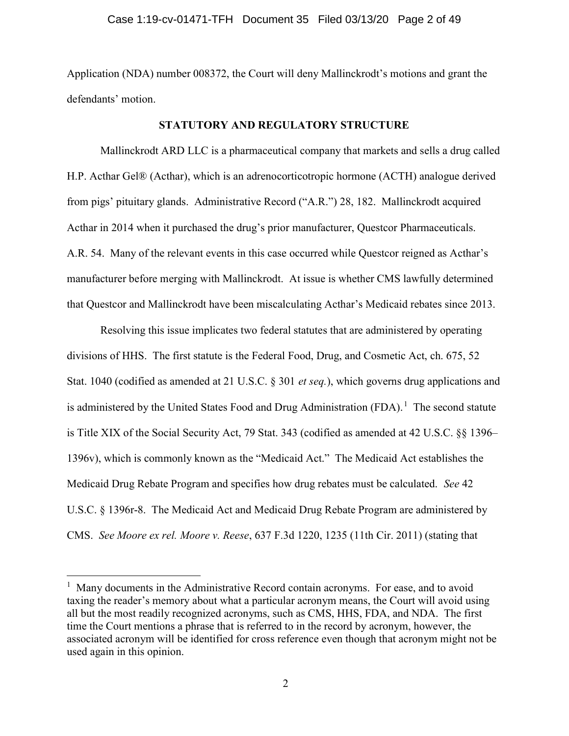Application (NDA) number 008372, the Court will deny Mallinckrodt's motions and grant the defendants' motion.

### STATUTORY AND REGULATORY STRUCTURE

Mallinckrodt ARD LLC is a pharmaceutical company that markets and sells a drug called H.P. Acthar Gel® (Acthar), which is an adrenocorticotropic hormone (ACTH) analogue derived from pigs' pituitary glands. Administrative Record ("A.R.") 28, 182. Mallinckrodt acquired Acthar in 2014 when it purchased the drug's prior manufacturer, Questcor Pharmaceuticals. A.R. 54. Many of the relevant events in this case occurred while Questcor reigned as Acthar's manufacturer before merging with Mallinckrodt. At issue is whether CMS lawfully determined that Questcor and Mallinckrodt have been miscalculating Acthar's Medicaid rebates since 2013.

Resolving this issue implicates two federal statutes that are administered by operating divisions of HHS. The first statute is the Federal Food, Drug, and Cosmetic Act, ch. 675, 52 Stat. 1040 (codified as amended at 21 U.S.C. § 301 et seq.), which governs drug applications and is administered by the United States Food and Drug Administration  $(FDA)$ .<sup>1</sup> The second statute is Title XIX of the Social Security Act, 79 Stat. 343 (codified as amended at 42 U.S.C. §§ 1396– 1396v), which is commonly known as the "Medicaid Act." The Medicaid Act establishes the Medicaid Drug Rebate Program and specifies how drug rebates must be calculated. See 42 U.S.C. § 1396r-8. The Medicaid Act and Medicaid Drug Rebate Program are administered by CMS. See Moore ex rel. Moore v. Reese, 637 F.3d 1220, 1235 (11th Cir. 2011) (stating that

 $<sup>1</sup>$  Many documents in the Administrative Record contain acronyms. For ease, and to avoid</sup> taxing the reader's memory about what a particular acronym means, the Court will avoid using all but the most readily recognized acronyms, such as CMS, HHS, FDA, and NDA. The first time the Court mentions a phrase that is referred to in the record by acronym, however, the associated acronym will be identified for cross reference even though that acronym might not be used again in this opinion.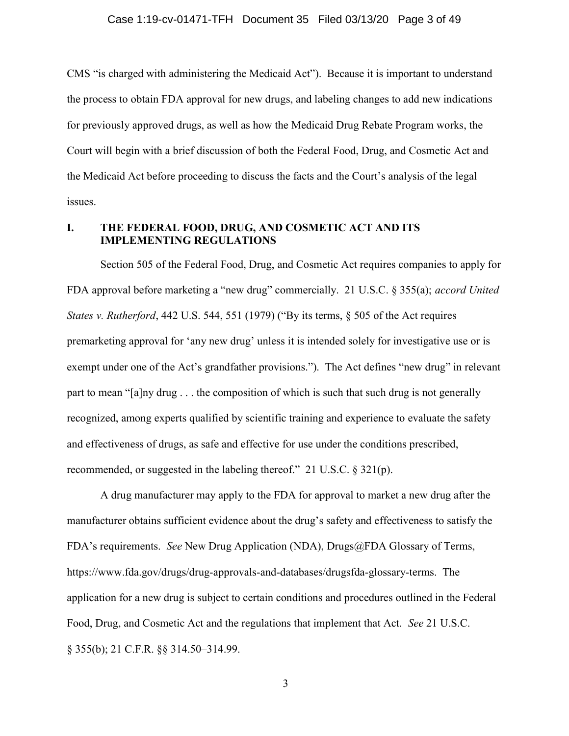CMS "is charged with administering the Medicaid Act"). Because it is important to understand the process to obtain FDA approval for new drugs, and labeling changes to add new indications for previously approved drugs, as well as how the Medicaid Drug Rebate Program works, the Court will begin with a brief discussion of both the Federal Food, Drug, and Cosmetic Act and the Medicaid Act before proceeding to discuss the facts and the Court's analysis of the legal issues.

## I. THE FEDERAL FOOD, DRUG, AND COSMETIC ACT AND ITS IMPLEMENTING REGULATIONS

Section 505 of the Federal Food, Drug, and Cosmetic Act requires companies to apply for FDA approval before marketing a "new drug" commercially. 21 U.S.C. § 355(a); accord United States v. Rutherford, 442 U.S. 544, 551 (1979) ("By its terms, § 505 of the Act requires premarketing approval for 'any new drug' unless it is intended solely for investigative use or is exempt under one of the Act's grandfather provisions."). The Act defines "new drug" in relevant part to mean "[a]ny drug . . . the composition of which is such that such drug is not generally recognized, among experts qualified by scientific training and experience to evaluate the safety and effectiveness of drugs, as safe and effective for use under the conditions prescribed, recommended, or suggested in the labeling thereof." 21 U.S.C. § 321(p).

A drug manufacturer may apply to the FDA for approval to market a new drug after the manufacturer obtains sufficient evidence about the drug's safety and effectiveness to satisfy the FDA's requirements. See New Drug Application (NDA), Drugs@FDA Glossary of Terms, https://www.fda.gov/drugs/drug-approvals-and-databases/drugsfda-glossary-terms. The application for a new drug is subject to certain conditions and procedures outlined in the Federal Food, Drug, and Cosmetic Act and the regulations that implement that Act. See 21 U.S.C. § 355(b); 21 C.F.R. §§ 314.50–314.99.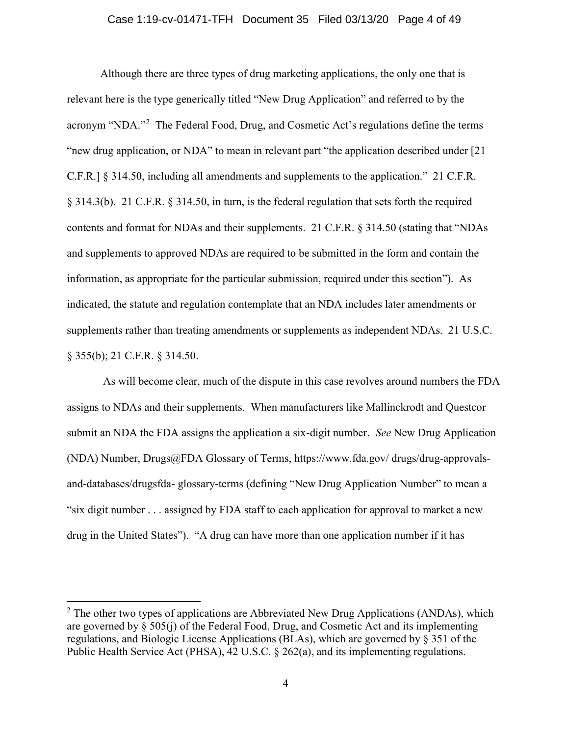#### Case 1:19-cv-01471-TFH Document 35 Filed 03/13/20 Page 4 of 49

Although there are three types of drug marketing applications, the only one that is relevant here is the type generically titled "New Drug Application" and referred to by the acronym "NDA."<sup>2</sup> The Federal Food, Drug, and Cosmetic Act's regulations define the terms "new drug application, or NDA" to mean in relevant part "the application described under [21 C.F.R.] § 314.50, including all amendments and supplements to the application." 21 C.F.R. § 314.3(b). 21 C.F.R. § 314.50, in turn, is the federal regulation that sets forth the required contents and format for NDAs and their supplements. 21 C.F.R. § 314.50 (stating that "NDAs and supplements to approved NDAs are required to be submitted in the form and contain the information, as appropriate for the particular submission, required under this section"). As indicated, the statute and regulation contemplate that an NDA includes later amendments or supplements rather than treating amendments or supplements as independent NDAs. 21 U.S.C. § 355(b); 21 C.F.R. § 314.50.

As will become clear, much of the dispute in this case revolves around numbers the FDA assigns to NDAs and their supplements. When manufacturers like Mallinckrodt and Questcor submit an NDA the FDA assigns the application a six-digit number. See New Drug Application (NDA) Number, Drugs@FDA Glossary of Terms, https://www.fda.gov/ drugs/drug-approvalsand-databases/drugsfda- glossary-terms (defining "New Drug Application Number" to mean a "six digit number . . . assigned by FDA staff to each application for approval to market a new drug in the United States"). "A drug can have more than one application number if it has

 $2^{\circ}$  The other two types of applications are Abbreviated New Drug Applications (ANDAs), which are governed by § 505(j) of the Federal Food, Drug, and Cosmetic Act and its implementing regulations, and Biologic License Applications (BLAs), which are governed by § 351 of the Public Health Service Act (PHSA), 42 U.S.C. § 262(a), and its implementing regulations.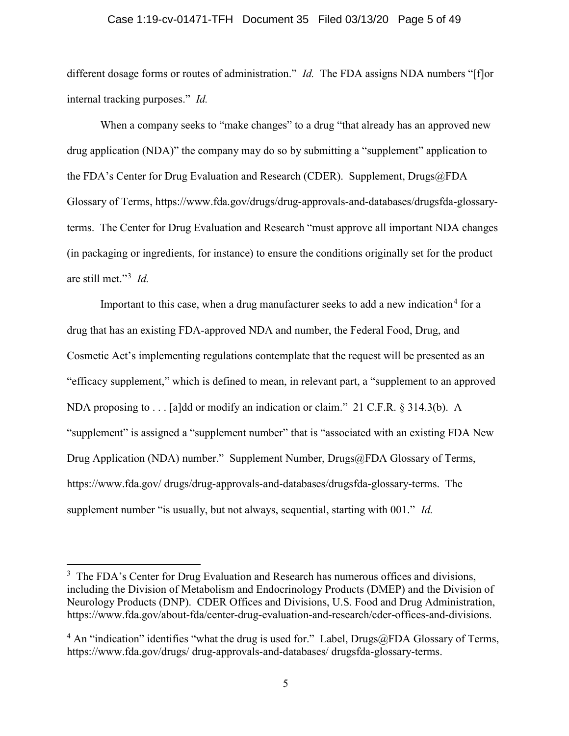### Case 1:19-cv-01471-TFH Document 35 Filed 03/13/20 Page 5 of 49

different dosage forms or routes of administration." *Id.* The FDA assigns NDA numbers "[f]or internal tracking purposes." Id.

When a company seeks to "make changes" to a drug "that already has an approved new drug application (NDA)" the company may do so by submitting a "supplement" application to the FDA's Center for Drug Evaluation and Research (CDER). Supplement, Drugs@FDA Glossary of Terms, https://www.fda.gov/drugs/drug-approvals-and-databases/drugsfda-glossaryterms. The Center for Drug Evaluation and Research "must approve all important NDA changes (in packaging or ingredients, for instance) to ensure the conditions originally set for the product are still met."<sup>3</sup> Id.

Important to this case, when a drug manufacturer seeks to add a new indication<sup>4</sup> for a drug that has an existing FDA-approved NDA and number, the Federal Food, Drug, and Cosmetic Act's implementing regulations contemplate that the request will be presented as an "efficacy supplement," which is defined to mean, in relevant part, a "supplement to an approved NDA proposing to . . . [a]dd or modify an indication or claim." 21 C.F.R. § 314.3(b). A "supplement" is assigned a "supplement number" that is "associated with an existing FDA New Drug Application (NDA) number." Supplement Number, Drugs@FDA Glossary of Terms, https://www.fda.gov/ drugs/drug-approvals-and-databases/drugsfda-glossary-terms. The supplement number "is usually, but not always, sequential, starting with 001." Id.

<sup>&</sup>lt;sup>3</sup> The FDA's Center for Drug Evaluation and Research has numerous offices and divisions, including the Division of Metabolism and Endocrinology Products (DMEP) and the Division of Neurology Products (DNP). CDER Offices and Divisions, U.S. Food and Drug Administration, https://www.fda.gov/about-fda/center-drug-evaluation-and-research/cder-offices-and-divisions.

<sup>&</sup>lt;sup>4</sup> An "indication" identifies "what the drug is used for." Label, Drugs@FDA Glossary of Terms, https://www.fda.gov/drugs/ drug-approvals-and-databases/ drugsfda-glossary-terms.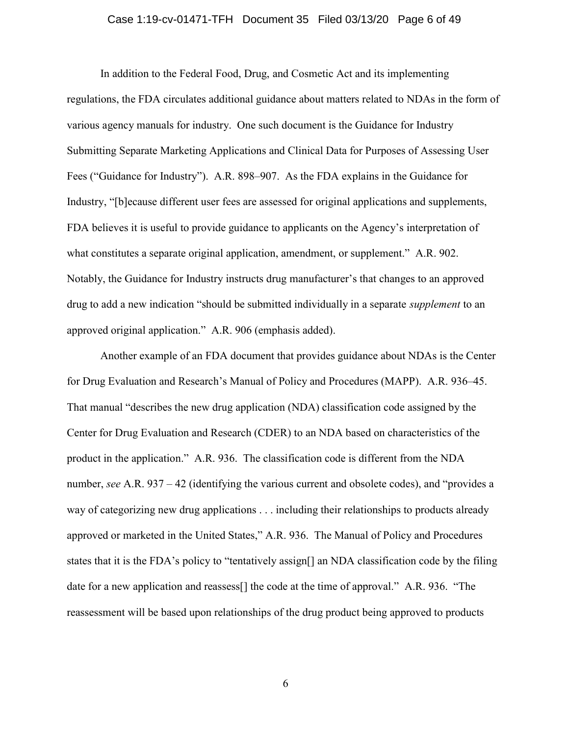# Case 1:19-cv-01471-TFH Document 35 Filed 03/13/20 Page 6 of 49

In addition to the Federal Food, Drug, and Cosmetic Act and its implementing regulations, the FDA circulates additional guidance about matters related to NDAs in the form of various agency manuals for industry. One such document is the Guidance for Industry Submitting Separate Marketing Applications and Clinical Data for Purposes of Assessing User Fees ("Guidance for Industry"). A.R. 898–907. As the FDA explains in the Guidance for Industry, "[b]ecause different user fees are assessed for original applications and supplements, FDA believes it is useful to provide guidance to applicants on the Agency's interpretation of what constitutes a separate original application, amendment, or supplement." A.R. 902. Notably, the Guidance for Industry instructs drug manufacturer's that changes to an approved drug to add a new indication "should be submitted individually in a separate *supplement* to an approved original application." A.R. 906 (emphasis added).

Another example of an FDA document that provides guidance about NDAs is the Center for Drug Evaluation and Research's Manual of Policy and Procedures (MAPP). A.R. 936–45. That manual "describes the new drug application (NDA) classification code assigned by the Center for Drug Evaluation and Research (CDER) to an NDA based on characteristics of the product in the application." A.R. 936. The classification code is different from the NDA number, see A.R. 937 – 42 (identifying the various current and obsolete codes), and "provides a way of categorizing new drug applications . . . including their relationships to products already approved or marketed in the United States," A.R. 936. The Manual of Policy and Procedures states that it is the FDA's policy to "tentatively assign[] an NDA classification code by the filing date for a new application and reassess<sup>[]</sup> the code at the time of approval." A.R. 936. "The reassessment will be based upon relationships of the drug product being approved to products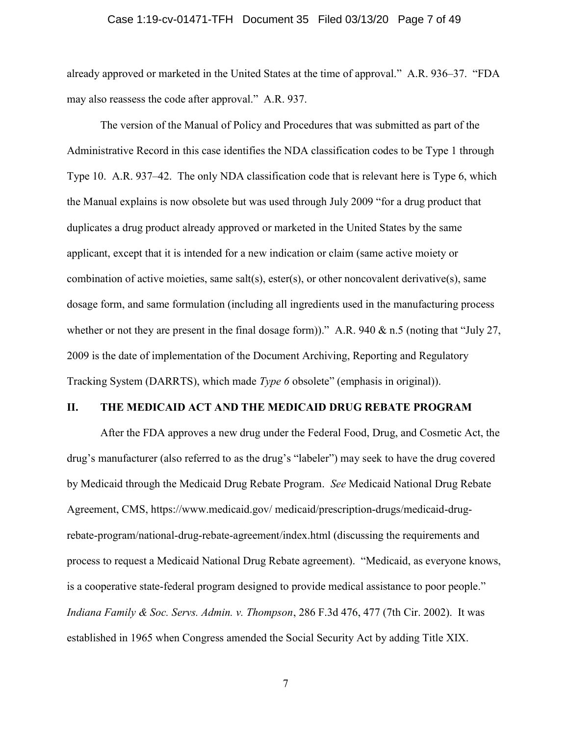# Case 1:19-cv-01471-TFH Document 35 Filed 03/13/20 Page 7 of 49

already approved or marketed in the United States at the time of approval." A.R. 936–37. "FDA may also reassess the code after approval." A.R. 937.

The version of the Manual of Policy and Procedures that was submitted as part of the Administrative Record in this case identifies the NDA classification codes to be Type 1 through Type 10. A.R. 937–42. The only NDA classification code that is relevant here is Type 6, which the Manual explains is now obsolete but was used through July 2009 "for a drug product that duplicates a drug product already approved or marketed in the United States by the same applicant, except that it is intended for a new indication or claim (same active moiety or combination of active moieties, same salt(s), ester(s), or other noncovalent derivative(s), same dosage form, and same formulation (including all ingredients used in the manufacturing process whether or not they are present in the final dosage form))." A.R. 940 & n.5 (noting that "July 27, 2009 is the date of implementation of the Document Archiving, Reporting and Regulatory Tracking System (DARRTS), which made *Type 6* obsolete" (emphasis in original)).

### II. THE MEDICAID ACT AND THE MEDICAID DRUG REBATE PROGRAM

After the FDA approves a new drug under the Federal Food, Drug, and Cosmetic Act, the drug's manufacturer (also referred to as the drug's "labeler") may seek to have the drug covered by Medicaid through the Medicaid Drug Rebate Program. See Medicaid National Drug Rebate Agreement, CMS, https://www.medicaid.gov/ medicaid/prescription-drugs/medicaid-drugrebate-program/national-drug-rebate-agreement/index.html (discussing the requirements and process to request a Medicaid National Drug Rebate agreement). "Medicaid, as everyone knows, is a cooperative state-federal program designed to provide medical assistance to poor people." Indiana Family & Soc. Servs. Admin. v. Thompson, 286 F.3d 476, 477 (7th Cir. 2002). It was established in 1965 when Congress amended the Social Security Act by adding Title XIX.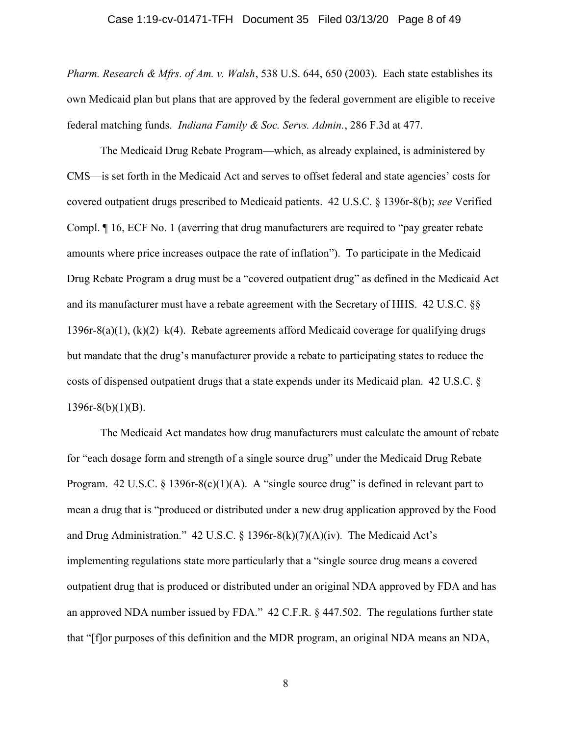### Case 1:19-cv-01471-TFH Document 35 Filed 03/13/20 Page 8 of 49

Pharm. Research & Mfrs. of Am. v. Walsh, 538 U.S. 644, 650 (2003). Each state establishes its own Medicaid plan but plans that are approved by the federal government are eligible to receive federal matching funds. Indiana Family & Soc. Servs. Admin., 286 F.3d at 477.

The Medicaid Drug Rebate Program—which, as already explained, is administered by CMS—is set forth in the Medicaid Act and serves to offset federal and state agencies' costs for covered outpatient drugs prescribed to Medicaid patients. 42 U.S.C. § 1396r-8(b); see Verified Compl. ¶ 16, ECF No. 1 (averring that drug manufacturers are required to "pay greater rebate amounts where price increases outpace the rate of inflation"). To participate in the Medicaid Drug Rebate Program a drug must be a "covered outpatient drug" as defined in the Medicaid Act and its manufacturer must have a rebate agreement with the Secretary of HHS. 42 U.S.C. §§ 1396r-8(a)(1),  $(k)(2)$ – $k(4)$ . Rebate agreements afford Medicaid coverage for qualifying drugs but mandate that the drug's manufacturer provide a rebate to participating states to reduce the costs of dispensed outpatient drugs that a state expends under its Medicaid plan. 42 U.S.C. §  $1396r-8(b)(1)(B)$ .

The Medicaid Act mandates how drug manufacturers must calculate the amount of rebate for "each dosage form and strength of a single source drug" under the Medicaid Drug Rebate Program. 42 U.S.C.  $\S$  1396r-8(c)(1)(A). A "single source drug" is defined in relevant part to mean a drug that is "produced or distributed under a new drug application approved by the Food and Drug Administration." 42 U.S.C. § 1396r-8(k)(7)(A)(iv). The Medicaid Act's implementing regulations state more particularly that a "single source drug means a covered outpatient drug that is produced or distributed under an original NDA approved by FDA and has an approved NDA number issued by FDA." 42 C.F.R. § 447.502. The regulations further state that "[f]or purposes of this definition and the MDR program, an original NDA means an NDA,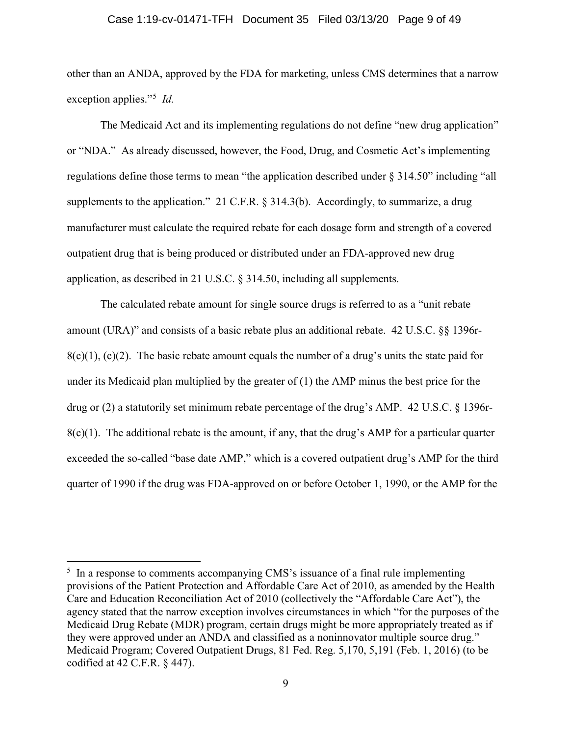#### Case 1:19-cv-01471-TFH Document 35 Filed 03/13/20 Page 9 of 49

other than an ANDA, approved by the FDA for marketing, unless CMS determines that a narrow exception applies."<sup>5</sup> *Id.* 

The Medicaid Act and its implementing regulations do not define "new drug application" or "NDA." As already discussed, however, the Food, Drug, and Cosmetic Act's implementing regulations define those terms to mean "the application described under § 314.50" including "all supplements to the application." 21 C.F.R. § 314.3(b). Accordingly, to summarize, a drug manufacturer must calculate the required rebate for each dosage form and strength of a covered outpatient drug that is being produced or distributed under an FDA-approved new drug application, as described in 21 U.S.C. § 314.50, including all supplements.

The calculated rebate amount for single source drugs is referred to as a "unit rebate amount (URA)" and consists of a basic rebate plus an additional rebate. 42 U.S.C. §§ 1396r- $8(c)(1)$ , (c)(2). The basic rebate amount equals the number of a drug's units the state paid for under its Medicaid plan multiplied by the greater of (1) the AMP minus the best price for the drug or (2) a statutorily set minimum rebate percentage of the drug's AMP. 42 U.S.C. § 1396r- $8(c)(1)$ . The additional rebate is the amount, if any, that the drug's AMP for a particular quarter exceeded the so-called "base date AMP," which is a covered outpatient drug's AMP for the third quarter of 1990 if the drug was FDA-approved on or before October 1, 1990, or the AMP for the

<sup>&</sup>lt;sup>5</sup> In a response to comments accompanying CMS's issuance of a final rule implementing provisions of the Patient Protection and Affordable Care Act of 2010, as amended by the Health Care and Education Reconciliation Act of 2010 (collectively the "Affordable Care Act"), the agency stated that the narrow exception involves circumstances in which "for the purposes of the Medicaid Drug Rebate (MDR) program, certain drugs might be more appropriately treated as if they were approved under an ANDA and classified as a noninnovator multiple source drug." Medicaid Program; Covered Outpatient Drugs, 81 Fed. Reg. 5,170, 5,191 (Feb. 1, 2016) (to be codified at 42 C.F.R. § 447).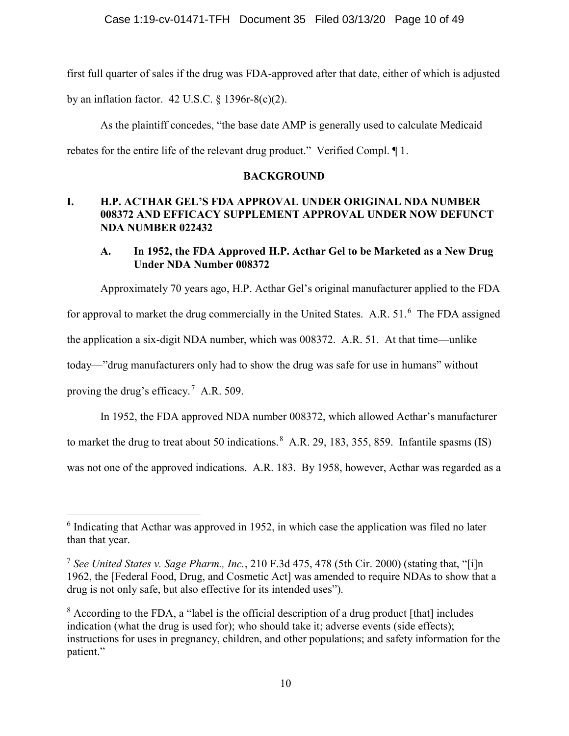first full quarter of sales if the drug was FDA-approved after that date, either of which is adjusted by an inflation factor.  $42$  U.S.C.  $\S$  1396r-8(c)(2).

As the plaintiff concedes, "the base date AMP is generally used to calculate Medicaid rebates for the entire life of the relevant drug product." Verified Compl. ¶ 1.

# **BACKGROUND**

# I. H.P. ACTHAR GEL'S FDA APPROVAL UNDER ORIGINAL NDA NUMBER 008372 AND EFFICACY SUPPLEMENT APPROVAL UNDER NOW DEFUNCT NDA NUMBER 022432

# A. In 1952, the FDA Approved H.P. Acthar Gel to be Marketed as a New Drug Under NDA Number 008372

Approximately 70 years ago, H.P. Acthar Gel's original manufacturer applied to the FDA

for approval to market the drug commercially in the United States. A.R.  $51<sup>6</sup>$  The FDA assigned

the application a six-digit NDA number, which was 008372. A.R. 51. At that time—unlike

today—"drug manufacturers only had to show the drug was safe for use in humans" without

proving the drug's efficacy.<sup>7</sup> A.R. 509.

In 1952, the FDA approved NDA number 008372, which allowed Acthar's manufacturer

to market the drug to treat about 50 indications.<sup>8</sup> A.R. 29, 183, 355, 859. Infantile spasms (IS)

was not one of the approved indications. A.R. 183. By 1958, however, Acthar was regarded as a

 $6$  Indicating that Acthar was approved in 1952, in which case the application was filed no later than that year.

<sup>&</sup>lt;sup>7</sup> See United States v. Sage Pharm., Inc., 210 F.3d 475, 478 (5th Cir. 2000) (stating that, "[i]n 1962, the [Federal Food, Drug, and Cosmetic Act] was amended to require NDAs to show that a drug is not only safe, but also effective for its intended uses").

<sup>&</sup>lt;sup>8</sup> According to the FDA, a "label is the official description of a drug product [that] includes indication (what the drug is used for); who should take it; adverse events (side effects); instructions for uses in pregnancy, children, and other populations; and safety information for the patient."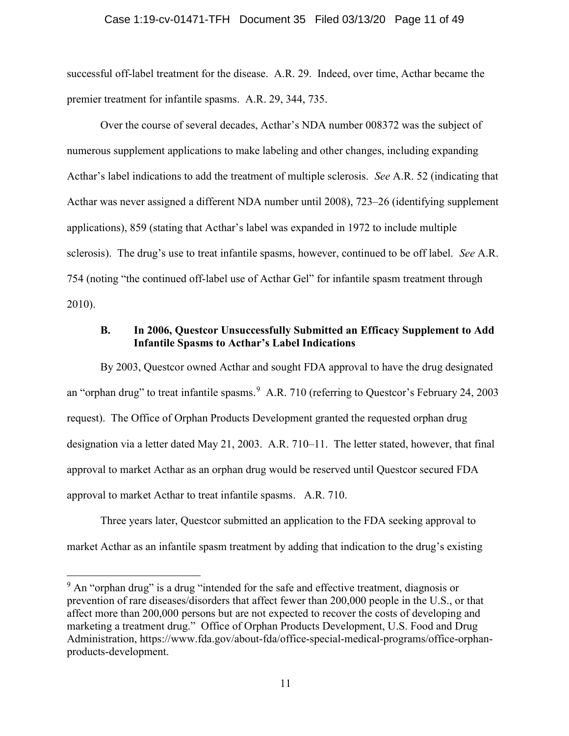### Case 1:19-cv-01471-TFH Document 35 Filed 03/13/20 Page 11 of 49

successful off-label treatment for the disease. A.R. 29. Indeed, over time, Acthar became the premier treatment for infantile spasms. A.R. 29, 344, 735.

Over the course of several decades, Acthar's NDA number 008372 was the subject of numerous supplement applications to make labeling and other changes, including expanding Acthar's label indications to add the treatment of multiple sclerosis. See A.R. 52 (indicating that Acthar was never assigned a different NDA number until 2008), 723–26 (identifying supplement applications), 859 (stating that Acthar's label was expanded in 1972 to include multiple sclerosis). The drug's use to treat infantile spasms, however, continued to be off label. See A.R. 754 (noting "the continued off-label use of Acthar Gel" for infantile spasm treatment through 2010).

## B. In 2006, Questcor Unsuccessfully Submitted an Efficacy Supplement to Add Infantile Spasms to Acthar's Label Indications

By 2003, Questcor owned Acthar and sought FDA approval to have the drug designated an "orphan drug" to treat infantile spasms.<sup>9</sup> A.R. 710 (referring to Questcor's February 24, 2003) request). The Office of Orphan Products Development granted the requested orphan drug designation via a letter dated May 21, 2003. A.R. 710–11. The letter stated, however, that final approval to market Acthar as an orphan drug would be reserved until Questcor secured FDA approval to market Acthar to treat infantile spasms. A.R. 710.

Three years later, Questcor submitted an application to the FDA seeking approval to market Acthar as an infantile spasm treatment by adding that indication to the drug's existing

 $9$  An "orphan drug" is a drug "intended for the safe and effective treatment, diagnosis or prevention of rare diseases/disorders that affect fewer than 200,000 people in the U.S., or that affect more than 200,000 persons but are not expected to recover the costs of developing and marketing a treatment drug." Office of Orphan Products Development, U.S. Food and Drug Administration, https://www.fda.gov/about-fda/office-special-medical-programs/office-orphanproducts-development.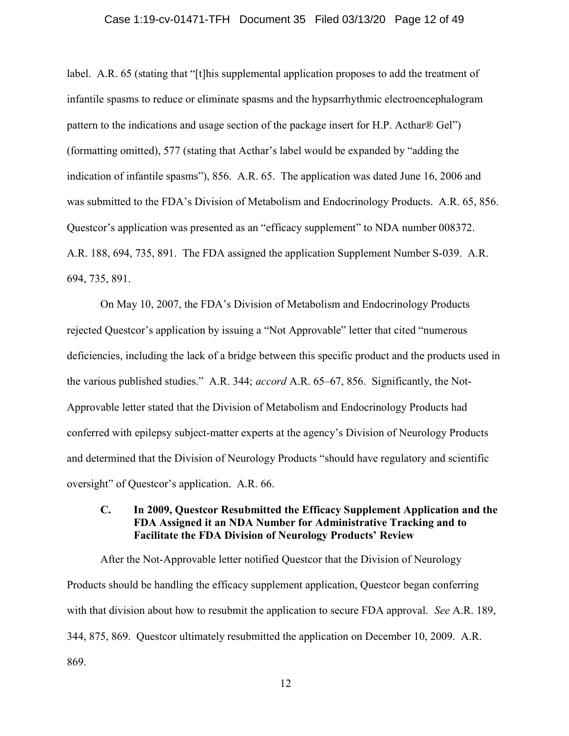#### Case 1:19-cv-01471-TFH Document 35 Filed 03/13/20 Page 12 of 49

label. A.R. 65 (stating that "[t]his supplemental application proposes to add the treatment of infantile spasms to reduce or eliminate spasms and the hypsarrhythmic electroencephalogram pattern to the indications and usage section of the package insert for H.P. Acthar® Gel") (formatting omitted), 577 (stating that Acthar's label would be expanded by "adding the indication of infantile spasms"), 856. A.R. 65. The application was dated June 16, 2006 and was submitted to the FDA's Division of Metabolism and Endocrinology Products. A.R. 65, 856. Questcor's application was presented as an "efficacy supplement" to NDA number 008372. A.R. 188, 694, 735, 891. The FDA assigned the application Supplement Number S-039. A.R. 694, 735, 891.

On May 10, 2007, the FDA's Division of Metabolism and Endocrinology Products rejected Questcor's application by issuing a "Not Approvable" letter that cited "numerous deficiencies, including the lack of a bridge between this specific product and the products used in the various published studies." A.R. 344; accord A.R. 65–67, 856. Significantly, the Not-Approvable letter stated that the Division of Metabolism and Endocrinology Products had conferred with epilepsy subject-matter experts at the agency's Division of Neurology Products and determined that the Division of Neurology Products "should have regulatory and scientific oversight" of Questcor's application. A.R. 66.

## C. In 2009, Questcor Resubmitted the Efficacy Supplement Application and the FDA Assigned it an NDA Number for Administrative Tracking and to Facilitate the FDA Division of Neurology Products' Review

After the Not-Approvable letter notified Questcor that the Division of Neurology Products should be handling the efficacy supplement application, Questcor began conferring with that division about how to resubmit the application to secure FDA approval. See A.R. 189, 344, 875, 869. Questcor ultimately resubmitted the application on December 10, 2009. A.R. 869.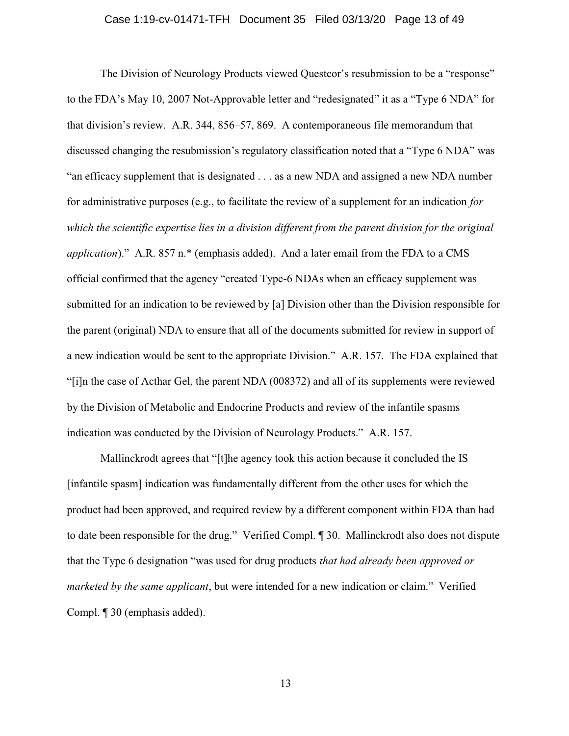### Case 1:19-cv-01471-TFH Document 35 Filed 03/13/20 Page 13 of 49

The Division of Neurology Products viewed Questcor's resubmission to be a "response" to the FDA's May 10, 2007 Not-Approvable letter and "redesignated" it as a "Type 6 NDA" for that division's review. A.R. 344, 856–57, 869. A contemporaneous file memorandum that discussed changing the resubmission's regulatory classification noted that a "Type 6 NDA" was "an efficacy supplement that is designated . . . as a new NDA and assigned a new NDA number for administrative purposes (e.g., to facilitate the review of a supplement for an indication for which the scientific expertise lies in a division different from the parent division for the original application)." A.R. 857 n.\* (emphasis added). And a later email from the FDA to a CMS official confirmed that the agency "created Type-6 NDAs when an efficacy supplement was submitted for an indication to be reviewed by [a] Division other than the Division responsible for the parent (original) NDA to ensure that all of the documents submitted for review in support of a new indication would be sent to the appropriate Division." A.R. 157. The FDA explained that "[i]n the case of Acthar Gel, the parent NDA (008372) and all of its supplements were reviewed by the Division of Metabolic and Endocrine Products and review of the infantile spasms indication was conducted by the Division of Neurology Products." A.R. 157.

Mallinckrodt agrees that "[t]he agency took this action because it concluded the IS [infantile spasm] indication was fundamentally different from the other uses for which the product had been approved, and required review by a different component within FDA than had to date been responsible for the drug." Verified Compl. ¶ 30. Mallinckrodt also does not dispute that the Type 6 designation "was used for drug products that had already been approved or marketed by the same applicant, but were intended for a new indication or claim." Verified Compl. ¶ 30 (emphasis added).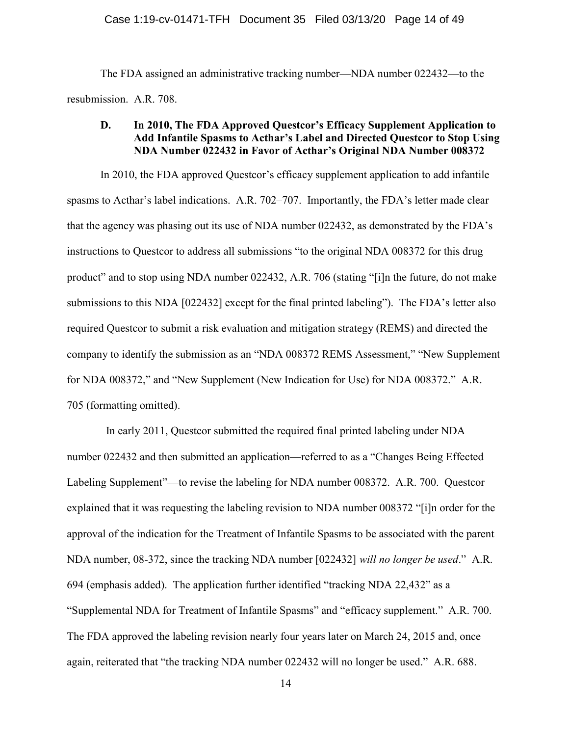The FDA assigned an administrative tracking number—NDA number 022432—to the resubmission. A.R. 708.

## D. In 2010, The FDA Approved Questcor's Efficacy Supplement Application to Add Infantile Spasms to Acthar's Label and Directed Questcor to Stop Using NDA Number 022432 in Favor of Acthar's Original NDA Number 008372

In 2010, the FDA approved Questcor's efficacy supplement application to add infantile spasms to Acthar's label indications. A.R. 702–707. Importantly, the FDA's letter made clear that the agency was phasing out its use of NDA number 022432, as demonstrated by the FDA's instructions to Questcor to address all submissions "to the original NDA 008372 for this drug product" and to stop using NDA number 022432, A.R. 706 (stating "[i]n the future, do not make submissions to this NDA [022432] except for the final printed labeling"). The FDA's letter also required Questcor to submit a risk evaluation and mitigation strategy (REMS) and directed the company to identify the submission as an "NDA 008372 REMS Assessment," "New Supplement for NDA 008372," and "New Supplement (New Indication for Use) for NDA 008372." A.R. 705 (formatting omitted).

In early 2011, Questcor submitted the required final printed labeling under NDA number 022432 and then submitted an application—referred to as a "Changes Being Effected Labeling Supplement"—to revise the labeling for NDA number 008372. A.R. 700. Questcor explained that it was requesting the labeling revision to NDA number 008372 "[i]n order for the approval of the indication for the Treatment of Infantile Spasms to be associated with the parent NDA number, 08-372, since the tracking NDA number [022432] will no longer be used." A.R. 694 (emphasis added). The application further identified "tracking NDA 22,432" as a "Supplemental NDA for Treatment of Infantile Spasms" and "efficacy supplement." A.R. 700. The FDA approved the labeling revision nearly four years later on March 24, 2015 and, once again, reiterated that "the tracking NDA number 022432 will no longer be used." A.R. 688.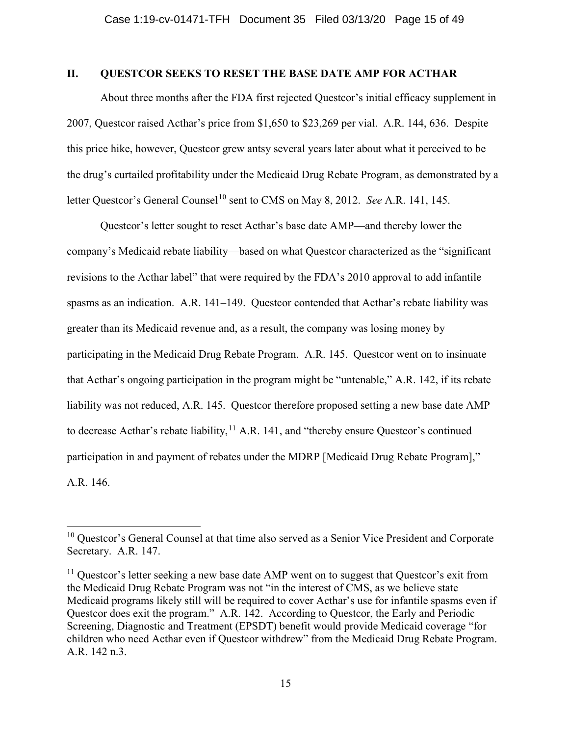## II. QUESTCOR SEEKS TO RESET THE BASE DATE AMP FOR ACTHAR

About three months after the FDA first rejected Questcor's initial efficacy supplement in 2007, Questcor raised Acthar's price from \$1,650 to \$23,269 per vial. A.R. 144, 636. Despite this price hike, however, Questcor grew antsy several years later about what it perceived to be the drug's curtailed profitability under the Medicaid Drug Rebate Program, as demonstrated by a letter Questcor's General Counsel<sup>10</sup> sent to CMS on May 8, 2012. See A.R. 141, 145.

Questcor's letter sought to reset Acthar's base date AMP—and thereby lower the company's Medicaid rebate liability—based on what Questcor characterized as the "significant revisions to the Acthar label" that were required by the FDA's 2010 approval to add infantile spasms as an indication. A.R. 141–149. Questcor contended that Acthar's rebate liability was greater than its Medicaid revenue and, as a result, the company was losing money by participating in the Medicaid Drug Rebate Program. A.R. 145. Questcor went on to insinuate that Acthar's ongoing participation in the program might be "untenable," A.R. 142, if its rebate liability was not reduced, A.R. 145. Questcor therefore proposed setting a new base date AMP to decrease Acthar's rebate liability,  $11$  A.R. 141, and "thereby ensure Questcor's continued participation in and payment of rebates under the MDRP [Medicaid Drug Rebate Program]," A.R. 146.

 $10$  Questcor's General Counsel at that time also served as a Senior Vice President and Corporate Secretary. A.R. 147.

 $11$  Questcor's letter seeking a new base date AMP went on to suggest that Questcor's exit from the Medicaid Drug Rebate Program was not "in the interest of CMS, as we believe state Medicaid programs likely still will be required to cover Acthar's use for infantile spasms even if Questcor does exit the program." A.R. 142. According to Questcor, the Early and Periodic Screening, Diagnostic and Treatment (EPSDT) benefit would provide Medicaid coverage "for children who need Acthar even if Questcor withdrew" from the Medicaid Drug Rebate Program. A.R. 142 n.3.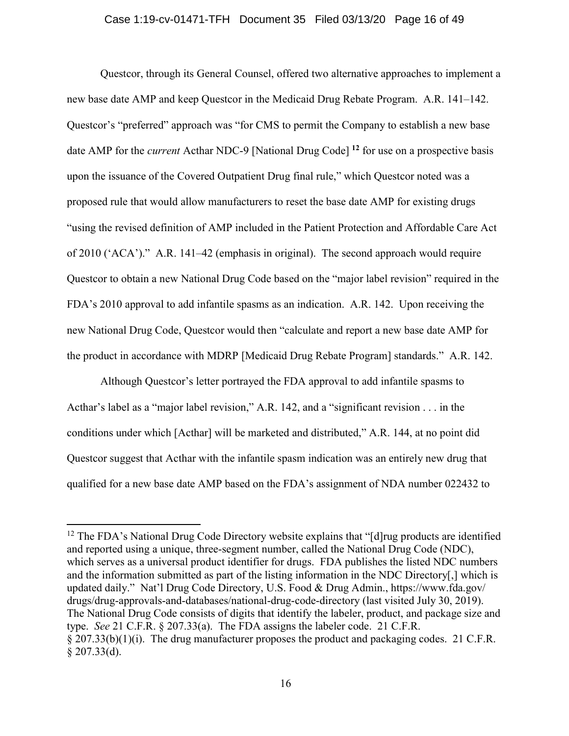#### Case 1:19-cv-01471-TFH Document 35 Filed 03/13/20 Page 16 of 49

Questcor, through its General Counsel, offered two alternative approaches to implement a new base date AMP and keep Questcor in the Medicaid Drug Rebate Program. A.R. 141–142. Questcor's "preferred" approach was "for CMS to permit the Company to establish a new base date AMP for the *current* Acthar NDC-9 [National Drug Code]<sup>12</sup> for use on a prospective basis upon the issuance of the Covered Outpatient Drug final rule," which Questcor noted was a proposed rule that would allow manufacturers to reset the base date AMP for existing drugs "using the revised definition of AMP included in the Patient Protection and Affordable Care Act of 2010 ('ACA')." A.R. 141–42 (emphasis in original). The second approach would require Questcor to obtain a new National Drug Code based on the "major label revision" required in the FDA's 2010 approval to add infantile spasms as an indication. A.R. 142. Upon receiving the new National Drug Code, Questcor would then "calculate and report a new base date AMP for the product in accordance with MDRP [Medicaid Drug Rebate Program] standards." A.R. 142.

Although Questcor's letter portrayed the FDA approval to add infantile spasms to Acthar's label as a "major label revision," A.R. 142, and a "significant revision . . . in the conditions under which [Acthar] will be marketed and distributed," A.R. 144, at no point did Questcor suggest that Acthar with the infantile spasm indication was an entirely new drug that qualified for a new base date AMP based on the FDA's assignment of NDA number 022432 to

<sup>&</sup>lt;sup>12</sup> The FDA's National Drug Code Directory website explains that "[d] rug products are identified and reported using a unique, three-segment number, called the National Drug Code (NDC), which serves as a universal product identifier for drugs. FDA publishes the listed NDC numbers and the information submitted as part of the listing information in the NDC Directory[,] which is updated daily." Nat'l Drug Code Directory, U.S. Food & Drug Admin., https://www.fda.gov/ drugs/drug-approvals-and-databases/national-drug-code-directory (last visited July 30, 2019). The National Drug Code consists of digits that identify the labeler, product, and package size and type. See 21 C.F.R. § 207.33(a). The FDA assigns the labeler code. 21 C.F.R. § 207.33(b)(1)(i). The drug manufacturer proposes the product and packaging codes. 21 C.F.R.  $$207.33(d).$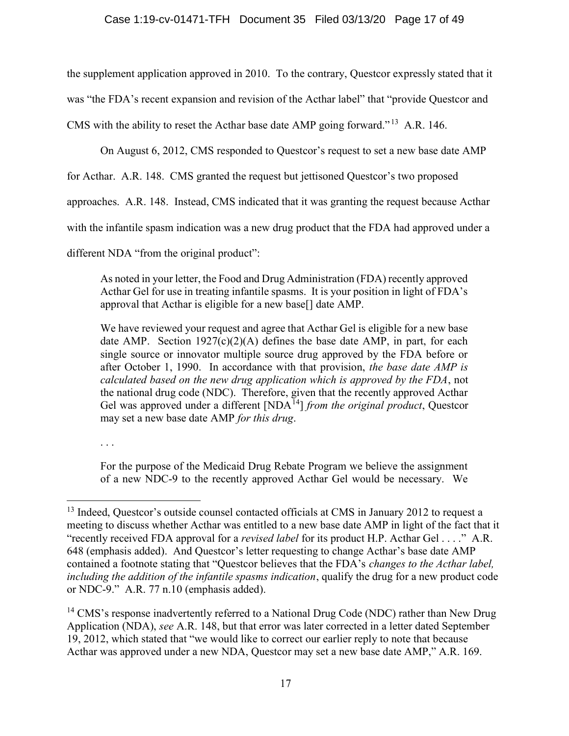the supplement application approved in 2010. To the contrary, Questcor expressly stated that it was "the FDA's recent expansion and revision of the Acthar label" that "provide Questcor and CMS with the ability to reset the Acthar base date AMP going forward." <sup>13</sup> A.R. 146.

On August 6, 2012, CMS responded to Questcor's request to set a new base date AMP

for Acthar. A.R. 148. CMS granted the request but jettisoned Questcor's two proposed

approaches. A.R. 148. Instead, CMS indicated that it was granting the request because Acthar

with the infantile spasm indication was a new drug product that the FDA had approved under a

different NDA "from the original product":

As noted in your letter, the Food and Drug Administration (FDA) recently approved Acthar Gel for use in treating infantile spasms. It is your position in light of FDA's approval that Acthar is eligible for a new base[] date AMP.

We have reviewed your request and agree that Acthar Gel is eligible for a new base date AMP. Section  $1927(c)(2)(A)$  defines the base date AMP, in part, for each single source or innovator multiple source drug approved by the FDA before or after October 1, 1990. In accordance with that provision, the base date AMP is calculated based on the new drug application which is approved by the FDA, not the national drug code (NDC). Therefore, given that the recently approved Acthar Gel was approved under a different  $[NDA<sup>14</sup>]$  from the original product, Questcor may set a new base date AMP for this drug.

. . .

For the purpose of the Medicaid Drug Rebate Program we believe the assignment of a new NDC-9 to the recently approved Acthar Gel would be necessary. We

 $13$  Indeed, Questcor's outside counsel contacted officials at CMS in January 2012 to request a meeting to discuss whether Acthar was entitled to a new base date AMP in light of the fact that it "recently received FDA approval for a *revised label* for its product H.P. Acthar Gel  $\dots$ " A.R. 648 (emphasis added). And Questcor's letter requesting to change Acthar's base date AMP contained a footnote stating that "Questcor believes that the FDA's changes to the Acthar label, including the addition of the infantile spasms indication, qualify the drug for a new product code or NDC-9." A.R. 77 n.10 (emphasis added).

<sup>&</sup>lt;sup>14</sup> CMS's response inadvertently referred to a National Drug Code (NDC) rather than New Drug Application (NDA), see A.R. 148, but that error was later corrected in a letter dated September 19, 2012, which stated that "we would like to correct our earlier reply to note that because Acthar was approved under a new NDA, Questcor may set a new base date AMP," A.R. 169.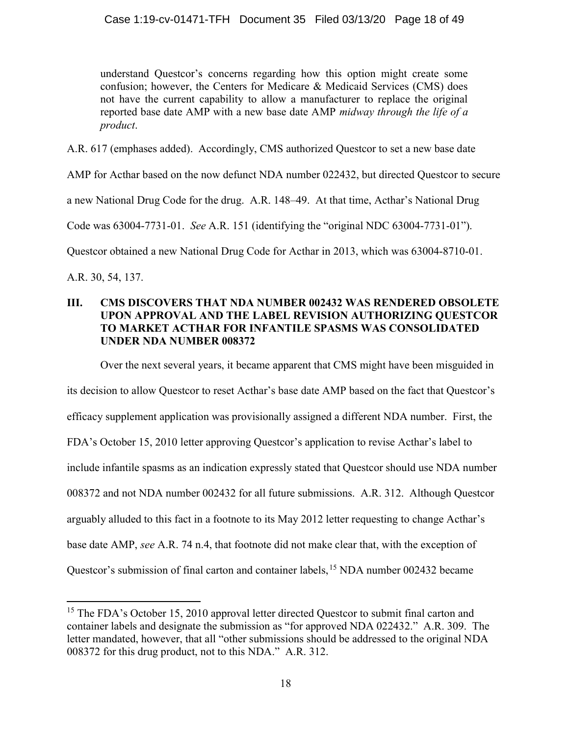understand Questcor's concerns regarding how this option might create some confusion; however, the Centers for Medicare & Medicaid Services (CMS) does not have the current capability to allow a manufacturer to replace the original reported base date AMP with a new base date AMP midway through the life of a product.

A.R. 617 (emphases added). Accordingly, CMS authorized Questcor to set a new base date

AMP for Acthar based on the now defunct NDA number 022432, but directed Questcor to secure

a new National Drug Code for the drug. A.R. 148–49. At that time, Acthar's National Drug

Code was 63004-7731-01. See A.R. 151 (identifying the "original NDC 63004-7731-01").

Questcor obtained a new National Drug Code for Acthar in 2013, which was 63004-8710-01.

A.R. 30, 54, 137.

# III. CMS DISCOVERS THAT NDA NUMBER 002432 WAS RENDERED OBSOLETE UPON APPROVAL AND THE LABEL REVISION AUTHORIZING QUESTCOR TO MARKET ACTHAR FOR INFANTILE SPASMS WAS CONSOLIDATED UNDER NDA NUMBER 008372

Over the next several years, it became apparent that CMS might have been misguided in

its decision to allow Questcor to reset Acthar's base date AMP based on the fact that Questcor's efficacy supplement application was provisionally assigned a different NDA number. First, the FDA's October 15, 2010 letter approving Questcor's application to revise Acthar's label to include infantile spasms as an indication expressly stated that Questcor should use NDA number 008372 and not NDA number 002432 for all future submissions. A.R. 312. Although Questcor arguably alluded to this fact in a footnote to its May 2012 letter requesting to change Acthar's base date AMP, see A.R. 74 n.4, that footnote did not make clear that, with the exception of Questcor's submission of final carton and container labels,<sup>15</sup> NDA number 002432 became

<sup>&</sup>lt;sup>15</sup> The FDA's October 15, 2010 approval letter directed Questcor to submit final carton and container labels and designate the submission as "for approved NDA 022432." A.R. 309. The letter mandated, however, that all "other submissions should be addressed to the original NDA 008372 for this drug product, not to this NDA." A.R. 312.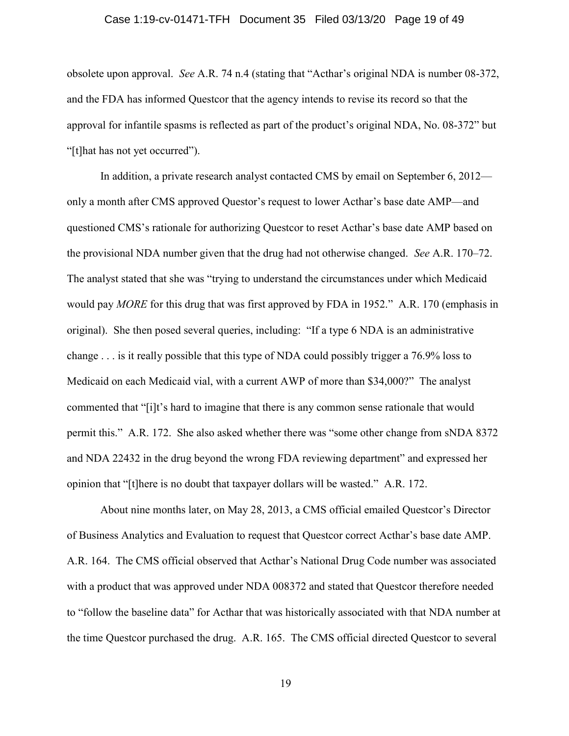### Case 1:19-cv-01471-TFH Document 35 Filed 03/13/20 Page 19 of 49

obsolete upon approval. See A.R. 74 n.4 (stating that "Acthar's original NDA is number 08-372, and the FDA has informed Questcor that the agency intends to revise its record so that the approval for infantile spasms is reflected as part of the product's original NDA, No. 08-372" but "[t]hat has not yet occurred").

In addition, a private research analyst contacted CMS by email on September 6, 2012 only a month after CMS approved Questor's request to lower Acthar's base date AMP—and questioned CMS's rationale for authorizing Questcor to reset Acthar's base date AMP based on the provisional NDA number given that the drug had not otherwise changed. See A.R. 170–72. The analyst stated that she was "trying to understand the circumstances under which Medicaid would pay MORE for this drug that was first approved by FDA in 1952." A.R. 170 (emphasis in original). She then posed several queries, including: "If a type 6 NDA is an administrative change . . . is it really possible that this type of NDA could possibly trigger a 76.9% loss to Medicaid on each Medicaid vial, with a current AWP of more than \$34,000?" The analyst commented that "[i]t's hard to imagine that there is any common sense rationale that would permit this." A.R. 172. She also asked whether there was "some other change from sNDA 8372 and NDA 22432 in the drug beyond the wrong FDA reviewing department" and expressed her opinion that "[t]here is no doubt that taxpayer dollars will be wasted." A.R. 172.

About nine months later, on May 28, 2013, a CMS official emailed Questcor's Director of Business Analytics and Evaluation to request that Questcor correct Acthar's base date AMP. A.R. 164. The CMS official observed that Acthar's National Drug Code number was associated with a product that was approved under NDA 008372 and stated that Questcor therefore needed to "follow the baseline data" for Acthar that was historically associated with that NDA number at the time Questcor purchased the drug. A.R. 165. The CMS official directed Questcor to several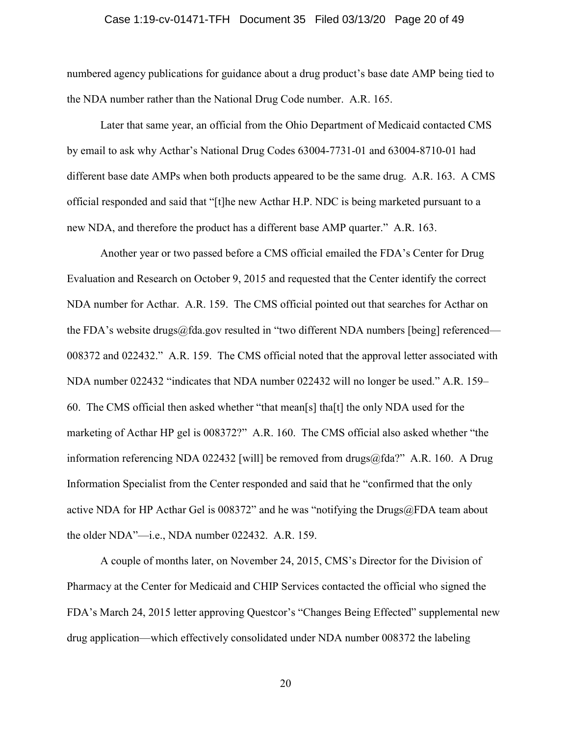### Case 1:19-cv-01471-TFH Document 35 Filed 03/13/20 Page 20 of 49

numbered agency publications for guidance about a drug product's base date AMP being tied to the NDA number rather than the National Drug Code number. A.R. 165.

Later that same year, an official from the Ohio Department of Medicaid contacted CMS by email to ask why Acthar's National Drug Codes 63004-7731-01 and 63004-8710-01 had different base date AMPs when both products appeared to be the same drug. A.R. 163. A CMS official responded and said that "[t]he new Acthar H.P. NDC is being marketed pursuant to a new NDA, and therefore the product has a different base AMP quarter." A.R. 163.

Another year or two passed before a CMS official emailed the FDA's Center for Drug Evaluation and Research on October 9, 2015 and requested that the Center identify the correct NDA number for Acthar. A.R. 159. The CMS official pointed out that searches for Acthar on the FDA's website drugs@fda.gov resulted in "two different NDA numbers [being] referenced— 008372 and 022432." A.R. 159. The CMS official noted that the approval letter associated with NDA number 022432 "indicates that NDA number 022432 will no longer be used." A.R. 159– 60. The CMS official then asked whether "that mean[s] tha[t] the only NDA used for the marketing of Acthar HP gel is 008372?" A.R. 160. The CMS official also asked whether "the information referencing NDA 022432 [will] be removed from drugs@fda?" A.R. 160. A Drug Information Specialist from the Center responded and said that he "confirmed that the only active NDA for HP Acthar Gel is 008372" and he was "notifying the Drugs@FDA team about the older NDA"—i.e., NDA number 022432. A.R. 159.

A couple of months later, on November 24, 2015, CMS's Director for the Division of Pharmacy at the Center for Medicaid and CHIP Services contacted the official who signed the FDA's March 24, 2015 letter approving Questcor's "Changes Being Effected" supplemental new drug application—which effectively consolidated under NDA number 008372 the labeling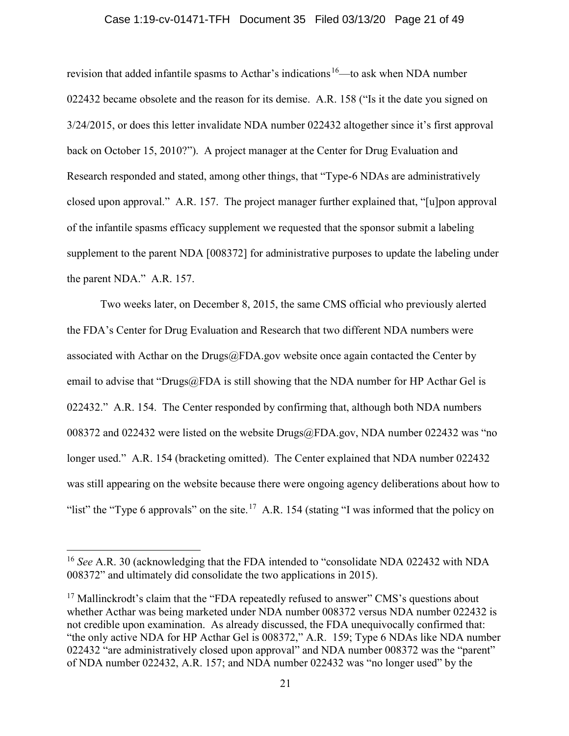### Case 1:19-cv-01471-TFH Document 35 Filed 03/13/20 Page 21 of 49

revision that added infantile spasms to Acthar's indications<sup>16</sup>—to ask when NDA number 022432 became obsolete and the reason for its demise. A.R. 158 ("Is it the date you signed on 3/24/2015, or does this letter invalidate NDA number 022432 altogether since it's first approval back on October 15, 2010?"). A project manager at the Center for Drug Evaluation and Research responded and stated, among other things, that "Type-6 NDAs are administratively closed upon approval." A.R. 157. The project manager further explained that, "[u]pon approval of the infantile spasms efficacy supplement we requested that the sponsor submit a labeling supplement to the parent NDA [008372] for administrative purposes to update the labeling under the parent NDA." A.R. 157.

Two weeks later, on December 8, 2015, the same CMS official who previously alerted the FDA's Center for Drug Evaluation and Research that two different NDA numbers were associated with Acthar on the Drugs $@FDA.gov$  website once again contacted the Center by email to advise that "Drugs@FDA is still showing that the NDA number for HP Acthar Gel is 022432." A.R. 154. The Center responded by confirming that, although both NDA numbers 008372 and 022432 were listed on the website Drugs@FDA.gov, NDA number 022432 was "no longer used." A.R. 154 (bracketing omitted). The Center explained that NDA number 022432 was still appearing on the website because there were ongoing agency deliberations about how to "list" the "Type 6 approvals" on the site.<sup>17</sup> A.R. 154 (stating "I was informed that the policy on

<sup>&</sup>lt;sup>16</sup> See A.R. 30 (acknowledging that the FDA intended to "consolidate NDA 022432 with NDA 008372" and ultimately did consolidate the two applications in 2015).

 $17$  Mallinckrodt's claim that the "FDA repeatedly refused to answer" CMS's questions about whether Acthar was being marketed under NDA number 008372 versus NDA number 022432 is not credible upon examination. As already discussed, the FDA unequivocally confirmed that: "the only active NDA for HP Acthar Gel is 008372," A.R. 159; Type 6 NDAs like NDA number 022432 "are administratively closed upon approval" and NDA number 008372 was the "parent" of NDA number 022432, A.R. 157; and NDA number 022432 was "no longer used" by the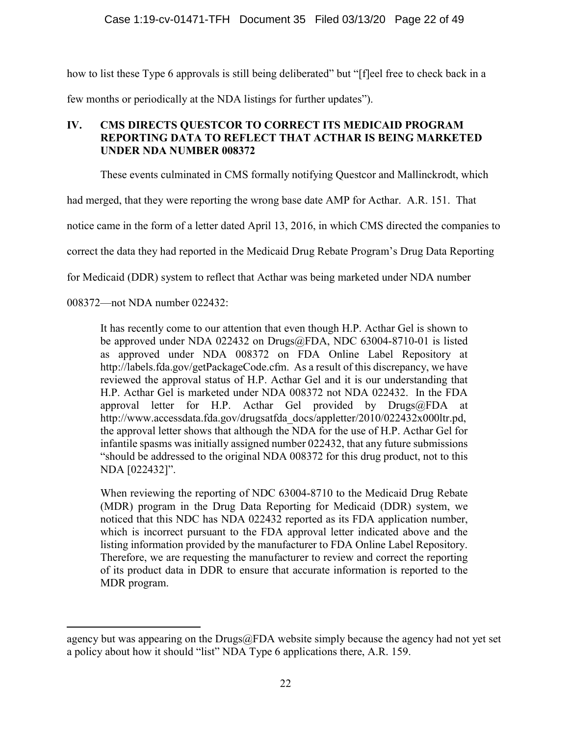how to list these Type 6 approvals is still being deliberated" but "[f]eel free to check back in a few months or periodically at the NDA listings for further updates").

# IV. CMS DIRECTS QUESTCOR TO CORRECT ITS MEDICAID PROGRAM REPORTING DATA TO REFLECT THAT ACTHAR IS BEING MARKETED UNDER NDA NUMBER 008372

These events culminated in CMS formally notifying Questcor and Mallinckrodt, which

had merged, that they were reporting the wrong base date AMP for Acthar. A.R. 151. That

notice came in the form of a letter dated April 13, 2016, in which CMS directed the companies to

correct the data they had reported in the Medicaid Drug Rebate Program's Drug Data Reporting

for Medicaid (DDR) system to reflect that Acthar was being marketed under NDA number

008372—not NDA number 022432:

It has recently come to our attention that even though H.P. Acthar Gel is shown to be approved under NDA 022432 on Drugs@FDA, NDC 63004-8710-01 is listed as approved under NDA 008372 on FDA Online Label Repository at http://labels.fda.gov/getPackageCode.cfm. As a result of this discrepancy, we have reviewed the approval status of H.P. Acthar Gel and it is our understanding that H.P. Acthar Gel is marketed under NDA 008372 not NDA 022432. In the FDA approval letter for H.P. Acthar Gel provided by Drugs@FDA at http://www.accessdata.fda.gov/drugsatfda\_docs/appletter/2010/022432x000ltr.pd, the approval letter shows that although the NDA for the use of H.P. Acthar Gel for infantile spasms was initially assigned number 022432, that any future submissions "should be addressed to the original NDA 008372 for this drug product, not to this NDA [022432]".

When reviewing the reporting of NDC 63004-8710 to the Medicaid Drug Rebate (MDR) program in the Drug Data Reporting for Medicaid (DDR) system, we noticed that this NDC has NDA 022432 reported as its FDA application number, which is incorrect pursuant to the FDA approval letter indicated above and the listing information provided by the manufacturer to FDA Online Label Repository. Therefore, we are requesting the manufacturer to review and correct the reporting of its product data in DDR to ensure that accurate information is reported to the MDR program.

agency but was appearing on the Drugs $@FDA$  website simply because the agency had not yet set a policy about how it should "list" NDA Type 6 applications there, A.R. 159.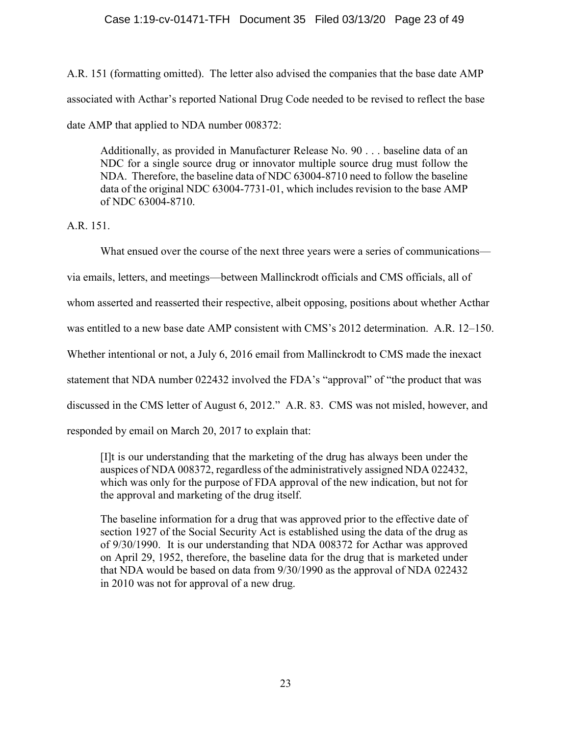# Case 1:19-cv-01471-TFH Document 35 Filed 03/13/20 Page 23 of 49

A.R. 151 (formatting omitted). The letter also advised the companies that the base date AMP associated with Acthar's reported National Drug Code needed to be revised to reflect the base date AMP that applied to NDA number 008372:

Additionally, as provided in Manufacturer Release No. 90 . . . baseline data of an NDC for a single source drug or innovator multiple source drug must follow the NDA. Therefore, the baseline data of NDC 63004-8710 need to follow the baseline data of the original NDC 63004-7731-01, which includes revision to the base AMP of NDC 63004-8710.

A.R. 151.

What ensued over the course of the next three years were a series of communications via emails, letters, and meetings—between Mallinckrodt officials and CMS officials, all of whom asserted and reasserted their respective, albeit opposing, positions about whether Acthar was entitled to a new base date AMP consistent with CMS's 2012 determination. A.R. 12–150. Whether intentional or not, a July 6, 2016 email from Mallinckrodt to CMS made the inexact statement that NDA number 022432 involved the FDA's "approval" of "the product that was discussed in the CMS letter of August 6, 2012." A.R. 83. CMS was not misled, however, and responded by email on March 20, 2017 to explain that:

[I]t is our understanding that the marketing of the drug has always been under the auspices of NDA 008372, regardless of the administratively assigned NDA 022432, which was only for the purpose of FDA approval of the new indication, but not for the approval and marketing of the drug itself.

The baseline information for a drug that was approved prior to the effective date of section 1927 of the Social Security Act is established using the data of the drug as of 9/30/1990. It is our understanding that NDA 008372 for Acthar was approved on April 29, 1952, therefore, the baseline data for the drug that is marketed under that NDA would be based on data from 9/30/1990 as the approval of NDA 022432 in 2010 was not for approval of a new drug.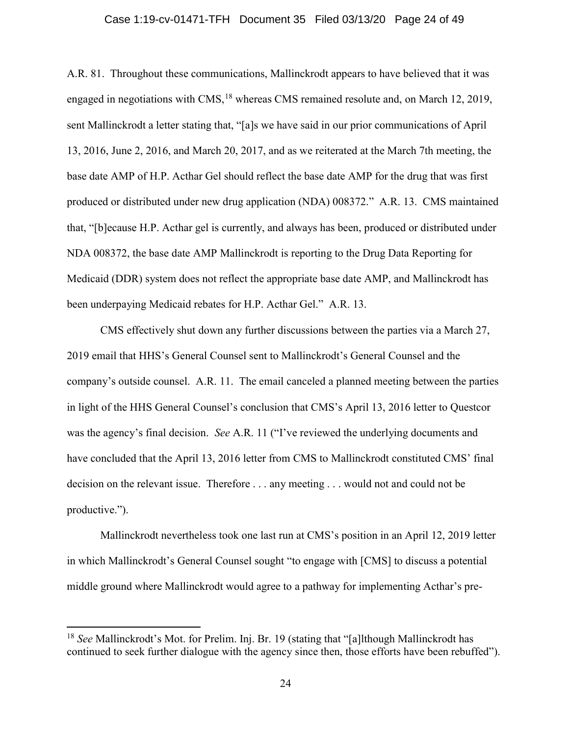### Case 1:19-cv-01471-TFH Document 35 Filed 03/13/20 Page 24 of 49

A.R. 81. Throughout these communications, Mallinckrodt appears to have believed that it was engaged in negotiations with  $CMS$ ,<sup>18</sup> whereas CMS remained resolute and, on March 12, 2019, sent Mallinckrodt a letter stating that, "[a]s we have said in our prior communications of April 13, 2016, June 2, 2016, and March 20, 2017, and as we reiterated at the March 7th meeting, the base date AMP of H.P. Acthar Gel should reflect the base date AMP for the drug that was first produced or distributed under new drug application (NDA) 008372." A.R. 13. CMS maintained that, "[b]ecause H.P. Acthar gel is currently, and always has been, produced or distributed under NDA 008372, the base date AMP Mallinckrodt is reporting to the Drug Data Reporting for Medicaid (DDR) system does not reflect the appropriate base date AMP, and Mallinckrodt has been underpaying Medicaid rebates for H.P. Acthar Gel." A.R. 13.

CMS effectively shut down any further discussions between the parties via a March 27, 2019 email that HHS's General Counsel sent to Mallinckrodt's General Counsel and the company's outside counsel. A.R. 11. The email canceled a planned meeting between the parties in light of the HHS General Counsel's conclusion that CMS's April 13, 2016 letter to Questcor was the agency's final decision. See A.R. 11 ("I've reviewed the underlying documents and have concluded that the April 13, 2016 letter from CMS to Mallinckrodt constituted CMS' final decision on the relevant issue. Therefore . . . any meeting . . . would not and could not be productive.").

Mallinckrodt nevertheless took one last run at CMS's position in an April 12, 2019 letter in which Mallinckrodt's General Counsel sought "to engage with [CMS] to discuss a potential middle ground where Mallinckrodt would agree to a pathway for implementing Acthar's pre-

<sup>&</sup>lt;sup>18</sup> See Mallinckrodt's Mot. for Prelim. Inj. Br. 19 (stating that "[a]lthough Mallinckrodt has continued to seek further dialogue with the agency since then, those efforts have been rebuffed").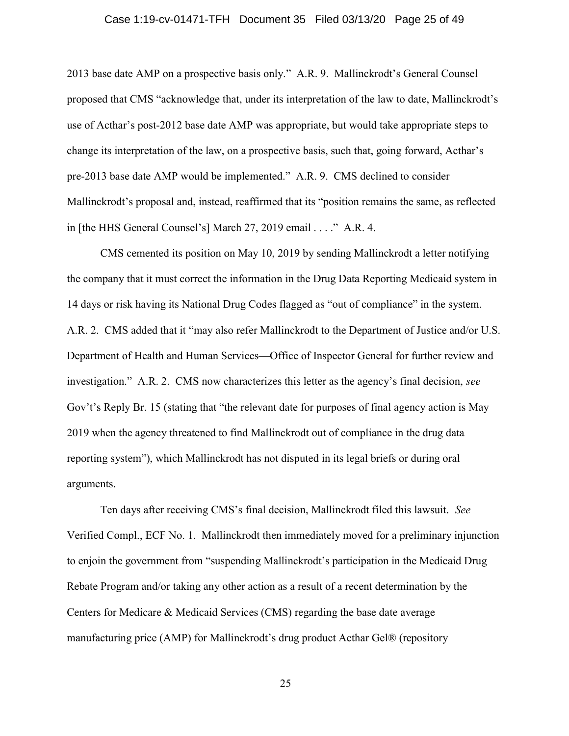#### Case 1:19-cv-01471-TFH Document 35 Filed 03/13/20 Page 25 of 49

2013 base date AMP on a prospective basis only." A.R. 9. Mallinckrodt's General Counsel proposed that CMS "acknowledge that, under its interpretation of the law to date, Mallinckrodt's use of Acthar's post-2012 base date AMP was appropriate, but would take appropriate steps to change its interpretation of the law, on a prospective basis, such that, going forward, Acthar's pre-2013 base date AMP would be implemented." A.R. 9. CMS declined to consider Mallinckrodt's proposal and, instead, reaffirmed that its "position remains the same, as reflected in [the HHS General Counsel's] March 27, 2019 email . . . ." A.R. 4.

CMS cemented its position on May 10, 2019 by sending Mallinckrodt a letter notifying the company that it must correct the information in the Drug Data Reporting Medicaid system in 14 days or risk having its National Drug Codes flagged as "out of compliance" in the system. A.R. 2. CMS added that it "may also refer Mallinckrodt to the Department of Justice and/or U.S. Department of Health and Human Services—Office of Inspector General for further review and investigation." A.R. 2. CMS now characterizes this letter as the agency's final decision, see Gov't's Reply Br. 15 (stating that "the relevant date for purposes of final agency action is May 2019 when the agency threatened to find Mallinckrodt out of compliance in the drug data reporting system"), which Mallinckrodt has not disputed in its legal briefs or during oral arguments.

Ten days after receiving CMS's final decision, Mallinckrodt filed this lawsuit. See Verified Compl., ECF No. 1. Mallinckrodt then immediately moved for a preliminary injunction to enjoin the government from "suspending Mallinckrodt's participation in the Medicaid Drug Rebate Program and/or taking any other action as a result of a recent determination by the Centers for Medicare & Medicaid Services (CMS) regarding the base date average manufacturing price (AMP) for Mallinckrodt's drug product Acthar Gel® (repository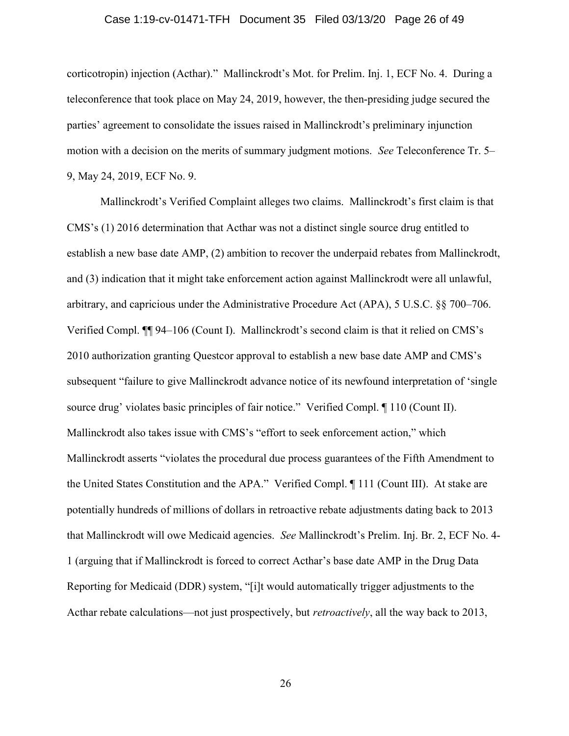### Case 1:19-cv-01471-TFH Document 35 Filed 03/13/20 Page 26 of 49

corticotropin) injection (Acthar)." Mallinckrodt's Mot. for Prelim. Inj. 1, ECF No. 4. During a teleconference that took place on May 24, 2019, however, the then-presiding judge secured the parties' agreement to consolidate the issues raised in Mallinckrodt's preliminary injunction motion with a decision on the merits of summary judgment motions. See Teleconference Tr. 5– 9, May 24, 2019, ECF No. 9.

Mallinckrodt's Verified Complaint alleges two claims. Mallinckrodt's first claim is that CMS's (1) 2016 determination that Acthar was not a distinct single source drug entitled to establish a new base date AMP, (2) ambition to recover the underpaid rebates from Mallinckrodt, and (3) indication that it might take enforcement action against Mallinckrodt were all unlawful, arbitrary, and capricious under the Administrative Procedure Act (APA), 5 U.S.C. §§ 700–706. Verified Compl. ¶¶ 94–106 (Count I). Mallinckrodt's second claim is that it relied on CMS's 2010 authorization granting Questcor approval to establish a new base date AMP and CMS's subsequent "failure to give Mallinckrodt advance notice of its newfound interpretation of 'single source drug' violates basic principles of fair notice." Verified Compl. ¶ 110 (Count II). Mallinckrodt also takes issue with CMS's "effort to seek enforcement action," which Mallinckrodt asserts "violates the procedural due process guarantees of the Fifth Amendment to the United States Constitution and the APA." Verified Compl. ¶ 111 (Count III). At stake are potentially hundreds of millions of dollars in retroactive rebate adjustments dating back to 2013 that Mallinckrodt will owe Medicaid agencies. See Mallinckrodt's Prelim. Inj. Br. 2, ECF No. 4- 1 (arguing that if Mallinckrodt is forced to correct Acthar's base date AMP in the Drug Data Reporting for Medicaid (DDR) system, "[i]t would automatically trigger adjustments to the Acthar rebate calculations—not just prospectively, but retroactively, all the way back to 2013,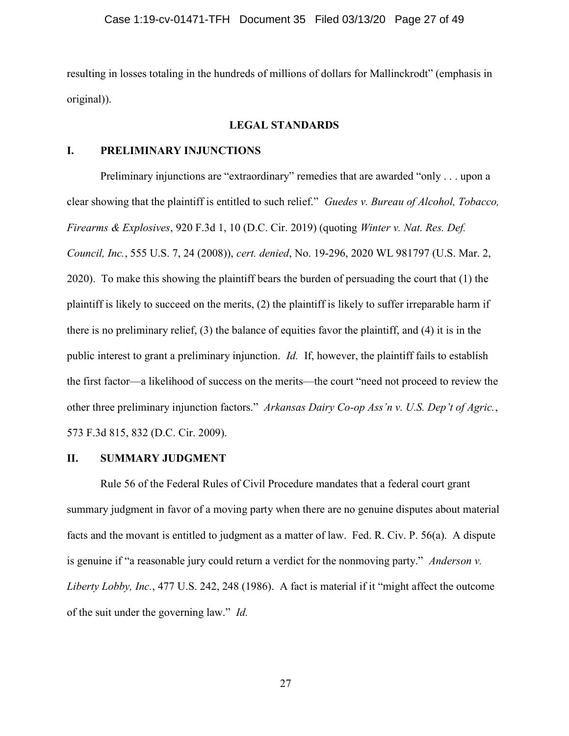resulting in losses totaling in the hundreds of millions of dollars for Mallinckrodt" (emphasis in original)).

### LEGAL STANDARDS

## I. PRELIMINARY INJUNCTIONS

Preliminary injunctions are "extraordinary" remedies that are awarded "only . . . upon a clear showing that the plaintiff is entitled to such relief." Guedes v. Bureau of Alcohol, Tobacco, Firearms & Explosives, 920 F.3d 1, 10 (D.C. Cir. 2019) (quoting Winter v. Nat. Res. Def. Council, Inc., 555 U.S. 7, 24 (2008)), cert. denied, No. 19-296, 2020 WL 981797 (U.S. Mar. 2, 2020). To make this showing the plaintiff bears the burden of persuading the court that (1) the plaintiff is likely to succeed on the merits, (2) the plaintiff is likely to suffer irreparable harm if there is no preliminary relief, (3) the balance of equities favor the plaintiff, and (4) it is in the public interest to grant a preliminary injunction. Id. If, however, the plaintiff fails to establish the first factor—a likelihood of success on the merits—the court "need not proceed to review the other three preliminary injunction factors." Arkansas Dairy Co-op Ass'n v. U.S. Dep't of Agric., 573 F.3d 815, 832 (D.C. Cir. 2009).

### II. SUMMARY JUDGMENT

Rule 56 of the Federal Rules of Civil Procedure mandates that a federal court grant summary judgment in favor of a moving party when there are no genuine disputes about material facts and the movant is entitled to judgment as a matter of law. Fed. R. Civ. P. 56(a). A dispute is genuine if "a reasonable jury could return a verdict for the nonmoving party." Anderson v. Liberty Lobby, Inc., 477 U.S. 242, 248 (1986). A fact is material if it "might affect the outcome of the suit under the governing law." Id.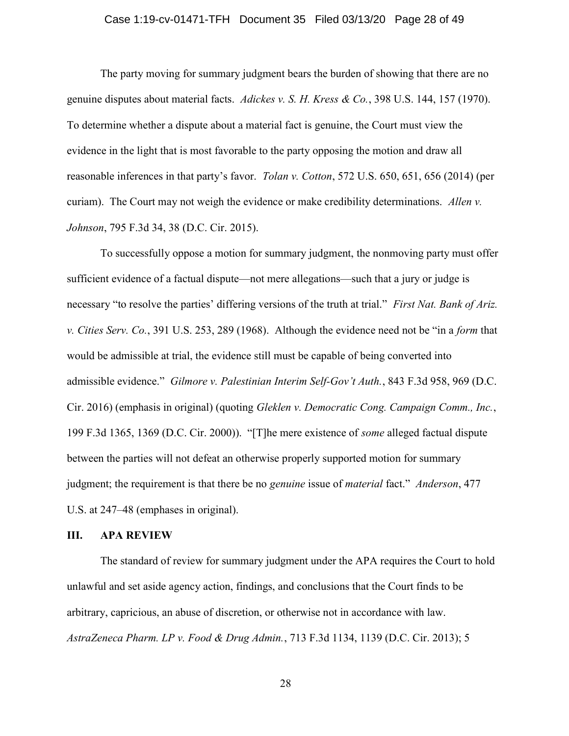### Case 1:19-cv-01471-TFH Document 35 Filed 03/13/20 Page 28 of 49

The party moving for summary judgment bears the burden of showing that there are no genuine disputes about material facts. Adickes v. S. H. Kress & Co., 398 U.S. 144, 157 (1970). To determine whether a dispute about a material fact is genuine, the Court must view the evidence in the light that is most favorable to the party opposing the motion and draw all reasonable inferences in that party's favor. Tolan v. Cotton, 572 U.S. 650, 651, 656 (2014) (per curiam). The Court may not weigh the evidence or make credibility determinations. Allen v. Johnson, 795 F.3d 34, 38 (D.C. Cir. 2015).

To successfully oppose a motion for summary judgment, the nonmoving party must offer sufficient evidence of a factual dispute—not mere allegations—such that a jury or judge is necessary "to resolve the parties' differing versions of the truth at trial." First Nat. Bank of Ariz. v. Cities Serv. Co., 391 U.S. 253, 289 (1968). Although the evidence need not be "in a form that would be admissible at trial, the evidence still must be capable of being converted into admissible evidence." Gilmore v. Palestinian Interim Self-Gov't Auth., 843 F.3d 958, 969 (D.C. Cir. 2016) (emphasis in original) (quoting Gleklen v. Democratic Cong. Campaign Comm., Inc., 199 F.3d 1365, 1369 (D.C. Cir. 2000)). "[T]he mere existence of some alleged factual dispute between the parties will not defeat an otherwise properly supported motion for summary judgment; the requirement is that there be no *genuine* issue of *material* fact." *Anderson*, 477 U.S. at 247–48 (emphases in original).

### III. APA REVIEW

The standard of review for summary judgment under the APA requires the Court to hold unlawful and set aside agency action, findings, and conclusions that the Court finds to be arbitrary, capricious, an abuse of discretion, or otherwise not in accordance with law. AstraZeneca Pharm. LP v. Food & Drug Admin., 713 F.3d 1134, 1139 (D.C. Cir. 2013); 5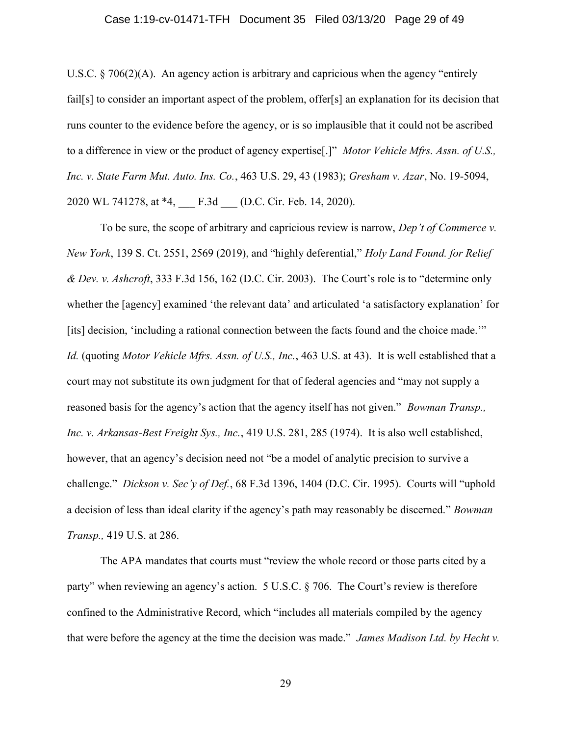### Case 1:19-cv-01471-TFH Document 35 Filed 03/13/20 Page 29 of 49

U.S.C. § 706(2)(A). An agency action is arbitrary and capricious when the agency "entirely fail[s] to consider an important aspect of the problem, offer[s] an explanation for its decision that runs counter to the evidence before the agency, or is so implausible that it could not be ascribed to a difference in view or the product of agency expertise<sup>[1]</sup>" *Motor Vehicle Mfrs. Assn. of U.S.*, Inc. v. State Farm Mut. Auto. Ins. Co., 463 U.S. 29, 43 (1983); Gresham v. Azar, No. 19-5094, 2020 WL 741278, at \*4, F.3d (D.C. Cir. Feb. 14, 2020).

To be sure, the scope of arbitrary and capricious review is narrow, *Dep't of Commerce v*. New York, 139 S. Ct. 2551, 2569 (2019), and "highly deferential," Holy Land Found. for Relief & Dev. v. Ashcroft, 333 F.3d 156, 162 (D.C. Cir. 2003). The Court's role is to "determine only whether the [agency] examined 'the relevant data' and articulated 'a satisfactory explanation' for [its] decision, 'including a rational connection between the facts found and the choice made.'" Id. (quoting Motor Vehicle Mfrs. Assn. of U.S., Inc., 463 U.S. at 43). It is well established that a court may not substitute its own judgment for that of federal agencies and "may not supply a reasoned basis for the agency's action that the agency itself has not given." *Bowman Transp.*, Inc. v. Arkansas-Best Freight Sys., Inc., 419 U.S. 281, 285 (1974). It is also well established, however, that an agency's decision need not "be a model of analytic precision to survive a challenge." Dickson v. Sec'y of Def., 68 F.3d 1396, 1404 (D.C. Cir. 1995). Courts will "uphold a decision of less than ideal clarity if the agency's path may reasonably be discerned." Bowman Transp., 419 U.S. at 286.

The APA mandates that courts must "review the whole record or those parts cited by a party" when reviewing an agency's action. 5 U.S.C. § 706. The Court's review is therefore confined to the Administrative Record, which "includes all materials compiled by the agency that were before the agency at the time the decision was made." James Madison Ltd. by Hecht v.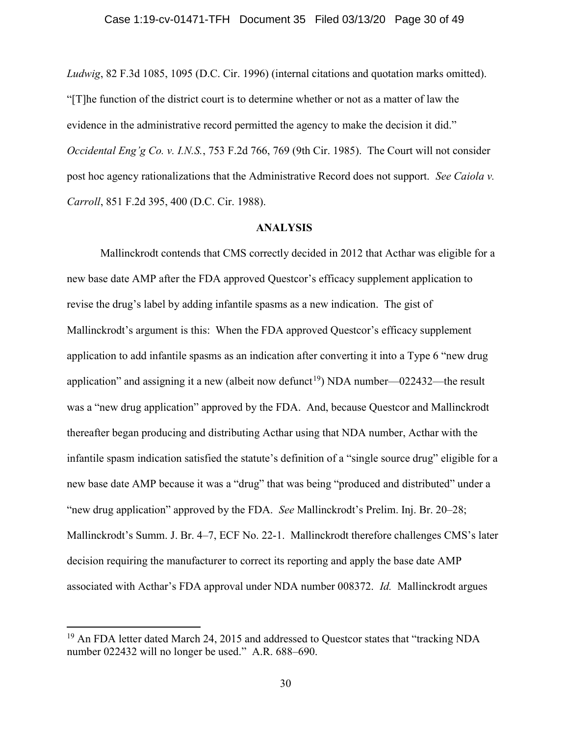Ludwig, 82 F.3d 1085, 1095 (D.C. Cir. 1996) (internal citations and quotation marks omitted). "[T]he function of the district court is to determine whether or not as a matter of law the evidence in the administrative record permitted the agency to make the decision it did." Occidental Eng'g Co. v. I.N.S., 753 F.2d 766, 769 (9th Cir. 1985). The Court will not consider post hoc agency rationalizations that the Administrative Record does not support. See Caiola v. Carroll, 851 F.2d 395, 400 (D.C. Cir. 1988).

### ANALYSIS

Mallinckrodt contends that CMS correctly decided in 2012 that Acthar was eligible for a new base date AMP after the FDA approved Questcor's efficacy supplement application to revise the drug's label by adding infantile spasms as a new indication. The gist of Mallinckrodt's argument is this: When the FDA approved Questcor's efficacy supplement application to add infantile spasms as an indication after converting it into a Type 6 "new drug application" and assigning it a new (albeit now defunct<sup>19</sup>) NDA number—022432—the result was a "new drug application" approved by the FDA. And, because Questcor and Mallinckrodt thereafter began producing and distributing Acthar using that NDA number, Acthar with the infantile spasm indication satisfied the statute's definition of a "single source drug" eligible for a new base date AMP because it was a "drug" that was being "produced and distributed" under a "new drug application" approved by the FDA. See Mallinckrodt's Prelim. Inj. Br. 20–28; Mallinckrodt's Summ. J. Br. 4–7, ECF No. 22-1. Mallinckrodt therefore challenges CMS's later decision requiring the manufacturer to correct its reporting and apply the base date AMP associated with Acthar's FDA approval under NDA number 008372. Id. Mallinckrodt argues

<sup>&</sup>lt;sup>19</sup> An FDA letter dated March 24, 2015 and addressed to Questcor states that "tracking NDA number 022432 will no longer be used." A.R. 688–690.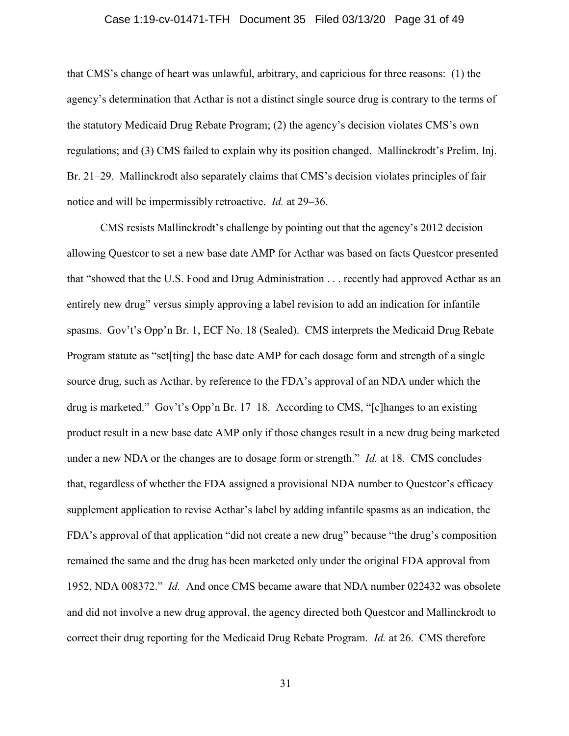### Case 1:19-cv-01471-TFH Document 35 Filed 03/13/20 Page 31 of 49

that CMS's change of heart was unlawful, arbitrary, and capricious for three reasons: (1) the agency's determination that Acthar is not a distinct single source drug is contrary to the terms of the statutory Medicaid Drug Rebate Program; (2) the agency's decision violates CMS's own regulations; and (3) CMS failed to explain why its position changed. Mallinckrodt's Prelim. Inj. Br. 21–29. Mallinckrodt also separately claims that CMS's decision violates principles of fair notice and will be impermissibly retroactive. Id. at 29–36.

CMS resists Mallinckrodt's challenge by pointing out that the agency's 2012 decision allowing Questcor to set a new base date AMP for Acthar was based on facts Questcor presented that "showed that the U.S. Food and Drug Administration . . . recently had approved Acthar as an entirely new drug" versus simply approving a label revision to add an indication for infantile spasms. Gov't's Opp'n Br. 1, ECF No. 18 (Sealed). CMS interprets the Medicaid Drug Rebate Program statute as "set[ting] the base date AMP for each dosage form and strength of a single source drug, such as Acthar, by reference to the FDA's approval of an NDA under which the drug is marketed." Gov't's Opp'n Br. 17–18. According to CMS, "[c]hanges to an existing product result in a new base date AMP only if those changes result in a new drug being marketed under a new NDA or the changes are to dosage form or strength." *Id.* at 18. CMS concludes that, regardless of whether the FDA assigned a provisional NDA number to Questcor's efficacy supplement application to revise Acthar's label by adding infantile spasms as an indication, the FDA's approval of that application "did not create a new drug" because "the drug's composition remained the same and the drug has been marketed only under the original FDA approval from 1952, NDA 008372." Id. And once CMS became aware that NDA number 022432 was obsolete and did not involve a new drug approval, the agency directed both Questcor and Mallinckrodt to correct their drug reporting for the Medicaid Drug Rebate Program. Id. at 26. CMS therefore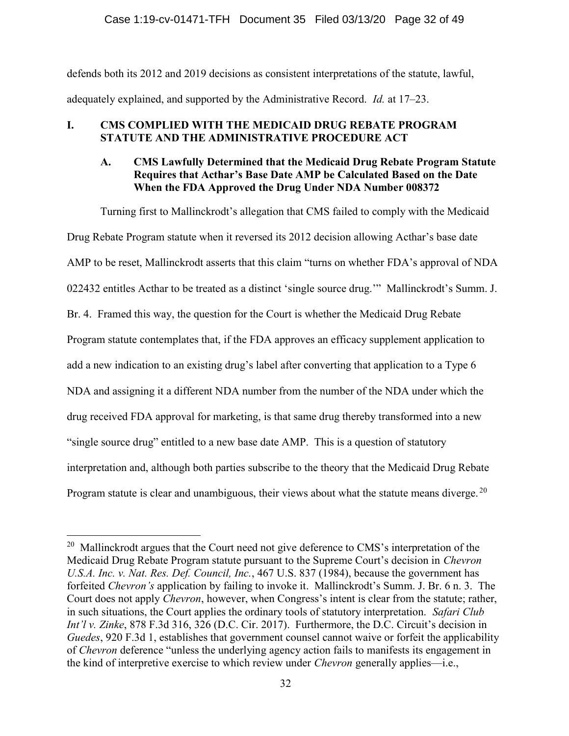## Case 1:19-cv-01471-TFH Document 35 Filed 03/13/20 Page 32 of 49

defends both its 2012 and 2019 decisions as consistent interpretations of the statute, lawful, adequately explained, and supported by the Administrative Record. Id. at 17–23.

# I. CMS COMPLIED WITH THE MEDICAID DRUG REBATE PROGRAM STATUTE AND THE ADMINISTRATIVE PROCEDURE ACT

# A. CMS Lawfully Determined that the Medicaid Drug Rebate Program Statute Requires that Acthar's Base Date AMP be Calculated Based on the Date When the FDA Approved the Drug Under NDA Number 008372

Turning first to Mallinckrodt's allegation that CMS failed to comply with the Medicaid Drug Rebate Program statute when it reversed its 2012 decision allowing Acthar's base date AMP to be reset, Mallinckrodt asserts that this claim "turns on whether FDA's approval of NDA 022432 entitles Acthar to be treated as a distinct 'single source drug.'" Mallinckrodt's Summ. J. Br. 4. Framed this way, the question for the Court is whether the Medicaid Drug Rebate Program statute contemplates that, if the FDA approves an efficacy supplement application to add a new indication to an existing drug's label after converting that application to a Type 6 NDA and assigning it a different NDA number from the number of the NDA under which the drug received FDA approval for marketing, is that same drug thereby transformed into a new "single source drug" entitled to a new base date AMP. This is a question of statutory interpretation and, although both parties subscribe to the theory that the Medicaid Drug Rebate Program statute is clear and unambiguous, their views about what the statute means diverge.  $20$ 

 $20$  Mallinckrodt argues that the Court need not give deference to CMS's interpretation of the Medicaid Drug Rebate Program statute pursuant to the Supreme Court's decision in Chevron U.S.A. Inc. v. Nat. Res. Def. Council, Inc., 467 U.S. 837 (1984), because the government has forfeited Chevron's application by failing to invoke it. Mallinckrodt's Summ. J. Br. 6 n. 3. The Court does not apply Chevron, however, when Congress's intent is clear from the statute; rather, in such situations, the Court applies the ordinary tools of statutory interpretation. Safari Club Int'l v. Zinke, 878 F.3d 316, 326 (D.C. Cir. 2017). Furthermore, the D.C. Circuit's decision in Guedes, 920 F.3d 1, establishes that government counsel cannot waive or forfeit the applicability of Chevron deference "unless the underlying agency action fails to manifests its engagement in the kind of interpretive exercise to which review under *Chevron* generally applies—i.e.,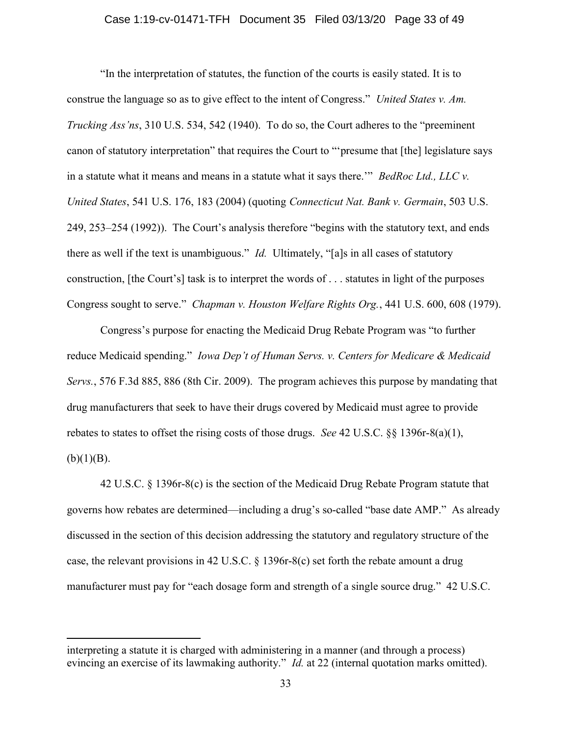### Case 1:19-cv-01471-TFH Document 35 Filed 03/13/20 Page 33 of 49

"In the interpretation of statutes, the function of the courts is easily stated. It is to construe the language so as to give effect to the intent of Congress." United States v. Am. Trucking Ass'ns, 310 U.S. 534, 542 (1940). To do so, the Court adheres to the "preeminent canon of statutory interpretation" that requires the Court to "'presume that [the] legislature says in a statute what it means and means in a statute what it says there."" BedRoc Ltd., LLC  $\nu$ . United States, 541 U.S. 176, 183 (2004) (quoting Connecticut Nat. Bank v. Germain, 503 U.S. 249, 253–254 (1992)). The Court's analysis therefore "begins with the statutory text, and ends there as well if the text is unambiguous." *Id.* Ultimately, "[a]s in all cases of statutory construction, [the Court's] task is to interpret the words of . . . statutes in light of the purposes Congress sought to serve." Chapman v. Houston Welfare Rights Org., 441 U.S. 600, 608 (1979).

Congress's purpose for enacting the Medicaid Drug Rebate Program was "to further reduce Medicaid spending." Iowa Dep't of Human Servs. v. Centers for Medicare & Medicaid Servs., 576 F.3d 885, 886 (8th Cir. 2009). The program achieves this purpose by mandating that drug manufacturers that seek to have their drugs covered by Medicaid must agree to provide rebates to states to offset the rising costs of those drugs. See 42 U.S.C.  $\S$  1396r-8(a)(1),  $(b)(1)(B).$ 

42 U.S.C. § 1396r-8(c) is the section of the Medicaid Drug Rebate Program statute that governs how rebates are determined—including a drug's so-called "base date AMP." As already discussed in the section of this decision addressing the statutory and regulatory structure of the case, the relevant provisions in 42 U.S.C. § 1396r-8(c) set forth the rebate amount a drug manufacturer must pay for "each dosage form and strength of a single source drug." 42 U.S.C.

interpreting a statute it is charged with administering in a manner (and through a process) evincing an exercise of its lawmaking authority." *Id.* at 22 (internal quotation marks omitted).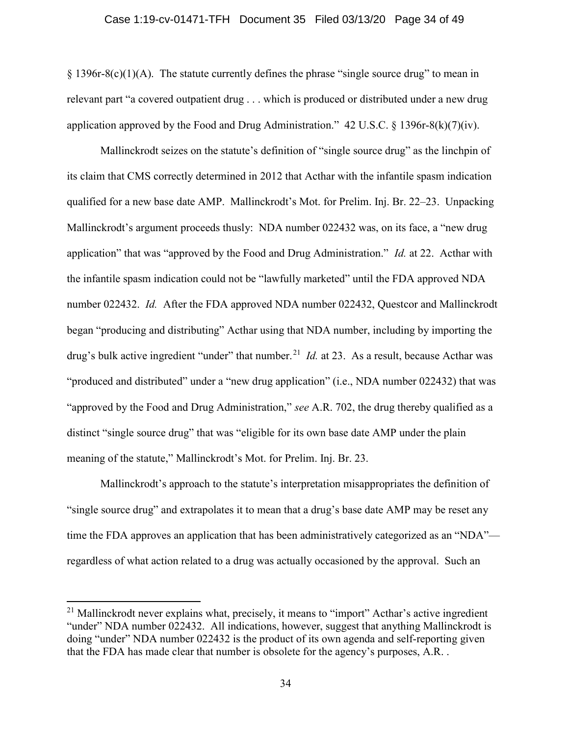#### Case 1:19-cv-01471-TFH Document 35 Filed 03/13/20 Page 34 of 49

 $\S 1396r-8(c)(1)(A)$ . The statute currently defines the phrase "single source drug" to mean in relevant part "a covered outpatient drug . . . which is produced or distributed under a new drug application approved by the Food and Drug Administration."  $42 \text{ U.S.C.} \$   $8 \frac{1396 \text{ r} \cdot 8(\text{k})}{7)(\text{iv)}}$ .

Mallinckrodt seizes on the statute's definition of "single source drug" as the linchpin of its claim that CMS correctly determined in 2012 that Acthar with the infantile spasm indication qualified for a new base date AMP. Mallinckrodt's Mot. for Prelim. Inj. Br. 22–23. Unpacking Mallinckrodt's argument proceeds thusly: NDA number 022432 was, on its face, a "new drug application" that was "approved by the Food and Drug Administration." Id. at 22. Acthar with the infantile spasm indication could not be "lawfully marketed" until the FDA approved NDA number 022432. Id. After the FDA approved NDA number 022432, Questcor and Mallinckrodt began "producing and distributing" Acthar using that NDA number, including by importing the drug's bulk active ingredient "under" that number.<sup>21</sup> *Id.* at 23. As a result, because Acthar was "produced and distributed" under a "new drug application" (i.e., NDA number 022432) that was "approved by the Food and Drug Administration," see A.R. 702, the drug thereby qualified as a distinct "single source drug" that was "eligible for its own base date AMP under the plain meaning of the statute," Mallinckrodt's Mot. for Prelim. Inj. Br. 23.

Mallinckrodt's approach to the statute's interpretation misappropriates the definition of "single source drug" and extrapolates it to mean that a drug's base date AMP may be reset any time the FDA approves an application that has been administratively categorized as an "NDA" regardless of what action related to a drug was actually occasioned by the approval. Such an

 $21$  Mallinckrodt never explains what, precisely, it means to "import" Acthar's active ingredient "under" NDA number 022432. All indications, however, suggest that anything Mallinckrodt is doing "under" NDA number 022432 is the product of its own agenda and self-reporting given that the FDA has made clear that number is obsolete for the agency's purposes, A.R. .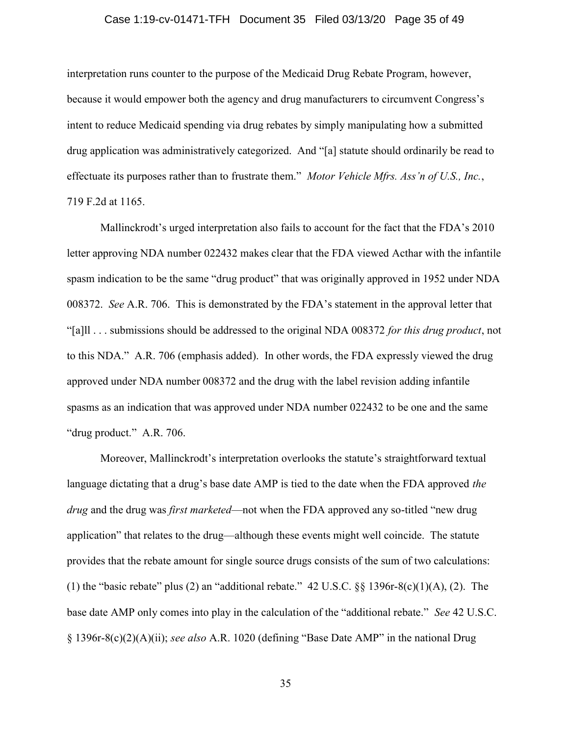### Case 1:19-cv-01471-TFH Document 35 Filed 03/13/20 Page 35 of 49

interpretation runs counter to the purpose of the Medicaid Drug Rebate Program, however, because it would empower both the agency and drug manufacturers to circumvent Congress's intent to reduce Medicaid spending via drug rebates by simply manipulating how a submitted drug application was administratively categorized. And "[a] statute should ordinarily be read to effectuate its purposes rather than to frustrate them." Motor Vehicle Mfrs. Ass'n of U.S., Inc., 719 F.2d at 1165.

Mallinckrodt's urged interpretation also fails to account for the fact that the FDA's 2010 letter approving NDA number 022432 makes clear that the FDA viewed Acthar with the infantile spasm indication to be the same "drug product" that was originally approved in 1952 under NDA 008372. See A.R. 706. This is demonstrated by the FDA's statement in the approval letter that "[a]]... submissions should be addressed to the original NDA 008372 for this drug product, not to this NDA." A.R. 706 (emphasis added). In other words, the FDA expressly viewed the drug approved under NDA number 008372 and the drug with the label revision adding infantile spasms as an indication that was approved under NDA number 022432 to be one and the same "drug product." A.R. 706.

Moreover, Mallinckrodt's interpretation overlooks the statute's straightforward textual language dictating that a drug's base date AMP is tied to the date when the FDA approved the drug and the drug was *first marketed*—not when the FDA approved any so-titled "new drug application" that relates to the drug—although these events might well coincide. The statute provides that the rebate amount for single source drugs consists of the sum of two calculations: (1) the "basic rebate" plus (2) an "additional rebate." 42 U.S.C.  $\S$ § 1396r-8(c)(1)(A), (2). The base date AMP only comes into play in the calculation of the "additional rebate." See 42 U.S.C. § 1396r-8(c)(2)(A)(ii); see also A.R. 1020 (defining "Base Date AMP" in the national Drug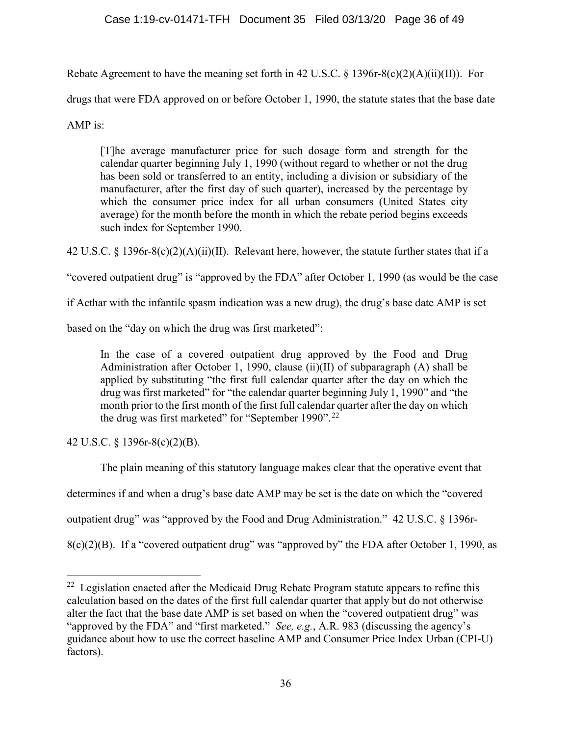Rebate Agreement to have the meaning set forth in 42 U.S.C. § 1396r-8(c)(2)(A)(ii)(II)). For

drugs that were FDA approved on or before October 1, 1990, the statute states that the base date

AMP is:

[T]he average manufacturer price for such dosage form and strength for the calendar quarter beginning July 1, 1990 (without regard to whether or not the drug has been sold or transferred to an entity, including a division or subsidiary of the manufacturer, after the first day of such quarter), increased by the percentage by which the consumer price index for all urban consumers (United States city average) for the month before the month in which the rebate period begins exceeds such index for September 1990.

42 U.S.C. § 1396r-8(c)(2)(A)(ii)(II). Relevant here, however, the statute further states that if a

"covered outpatient drug" is "approved by the FDA" after October 1, 1990 (as would be the case

if Acthar with the infantile spasm indication was a new drug), the drug's base date AMP is set

based on the "day on which the drug was first marketed":

In the case of a covered outpatient drug approved by the Food and Drug Administration after October 1, 1990, clause (ii)(II) of subparagraph (A) shall be applied by substituting "the first full calendar quarter after the day on which the drug was first marketed" for "the calendar quarter beginning July 1, 1990" and "the month prior to the first month of the first full calendar quarter after the day on which the drug was first marketed" for "September 1990".<sup>22</sup>

42 U.S.C. § 1396r-8(c)(2)(B).

The plain meaning of this statutory language makes clear that the operative event that

determines if and when a drug's base date AMP may be set is the date on which the "covered

outpatient drug" was "approved by the Food and Drug Administration." 42 U.S.C. § 1396r-

8(c)(2)(B). If a "covered outpatient drug" was "approved by" the FDA after October 1, 1990, as

 $22$  Legislation enacted after the Medicaid Drug Rebate Program statute appears to refine this calculation based on the dates of the first full calendar quarter that apply but do not otherwise alter the fact that the base date AMP is set based on when the "covered outpatient drug" was "approved by the FDA" and "first marketed." *See, e.g.*, A.R. 983 (discussing the agency's guidance about how to use the correct baseline AMP and Consumer Price Index Urban (CPI-U) factors).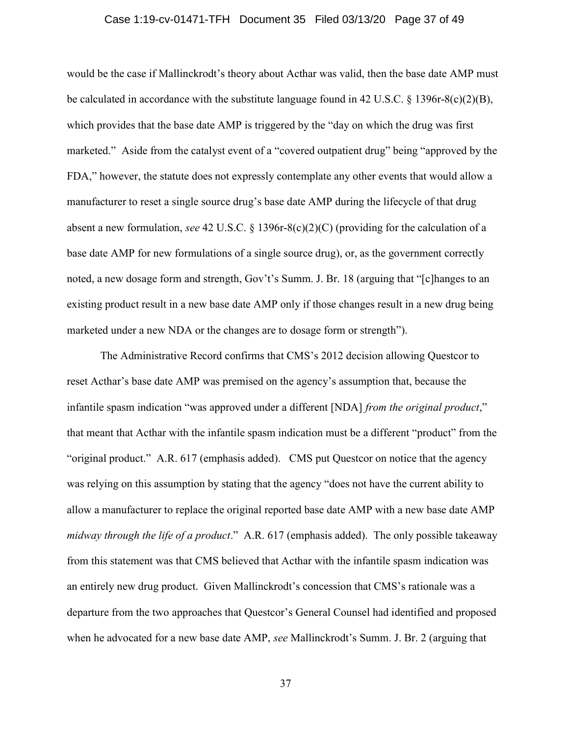### Case 1:19-cv-01471-TFH Document 35 Filed 03/13/20 Page 37 of 49

would be the case if Mallinckrodt's theory about Acthar was valid, then the base date AMP must be calculated in accordance with the substitute language found in 42 U.S.C. § 1396r-8(c)(2)(B), which provides that the base date AMP is triggered by the "day on which the drug was first marketed." Aside from the catalyst event of a "covered outpatient drug" being "approved by the FDA," however, the statute does not expressly contemplate any other events that would allow a manufacturer to reset a single source drug's base date AMP during the lifecycle of that drug absent a new formulation, see 42 U.S.C. § 1396r-8(c)(2)(C) (providing for the calculation of a base date AMP for new formulations of a single source drug), or, as the government correctly noted, a new dosage form and strength, Gov't's Summ. J. Br. 18 (arguing that "[c]hanges to an existing product result in a new base date AMP only if those changes result in a new drug being marketed under a new NDA or the changes are to dosage form or strength").

The Administrative Record confirms that CMS's 2012 decision allowing Questcor to reset Acthar's base date AMP was premised on the agency's assumption that, because the infantile spasm indication "was approved under a different [NDA] *from the original product*," that meant that Acthar with the infantile spasm indication must be a different "product" from the "original product." A.R. 617 (emphasis added). CMS put Questcor on notice that the agency was relying on this assumption by stating that the agency "does not have the current ability to allow a manufacturer to replace the original reported base date AMP with a new base date AMP midway through the life of a product." A.R. 617 (emphasis added). The only possible takeaway from this statement was that CMS believed that Acthar with the infantile spasm indication was an entirely new drug product. Given Mallinckrodt's concession that CMS's rationale was a departure from the two approaches that Questcor's General Counsel had identified and proposed when he advocated for a new base date AMP, see Mallinckrodt's Summ. J. Br. 2 (arguing that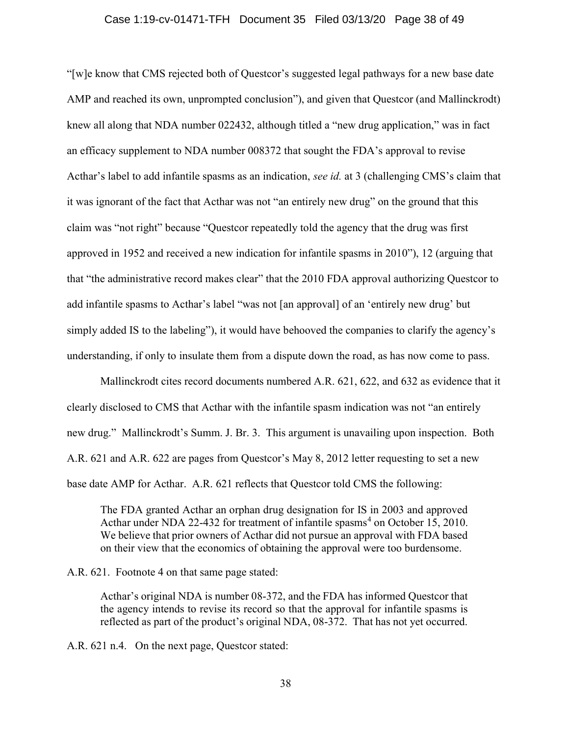### Case 1:19-cv-01471-TFH Document 35 Filed 03/13/20 Page 38 of 49

"[w]e know that CMS rejected both of Questcor's suggested legal pathways for a new base date AMP and reached its own, unprompted conclusion"), and given that Questcor (and Mallinckrodt) knew all along that NDA number 022432, although titled a "new drug application," was in fact an efficacy supplement to NDA number 008372 that sought the FDA's approval to revise Acthar's label to add infantile spasms as an indication, see id. at 3 (challenging CMS's claim that it was ignorant of the fact that Acthar was not "an entirely new drug" on the ground that this claim was "not right" because "Questcor repeatedly told the agency that the drug was first approved in 1952 and received a new indication for infantile spasms in 2010"), 12 (arguing that that "the administrative record makes clear" that the 2010 FDA approval authorizing Questcor to add infantile spasms to Acthar's label "was not [an approval] of an 'entirely new drug' but simply added IS to the labeling"), it would have behooved the companies to clarify the agency's understanding, if only to insulate them from a dispute down the road, as has now come to pass.

Mallinckrodt cites record documents numbered A.R. 621, 622, and 632 as evidence that it clearly disclosed to CMS that Acthar with the infantile spasm indication was not "an entirely new drug." Mallinckrodt's Summ. J. Br. 3. This argument is unavailing upon inspection. Both A.R. 621 and A.R. 622 are pages from Questcor's May 8, 2012 letter requesting to set a new base date AMP for Acthar. A.R. 621 reflects that Questcor told CMS the following:

The FDA granted Acthar an orphan drug designation for IS in 2003 and approved Acthar under NDA 22-432 for treatment of infantile spasms<sup>4</sup> on October 15, 2010. We believe that prior owners of Acthar did not pursue an approval with FDA based on their view that the economics of obtaining the approval were too burdensome.

A.R. 621. Footnote 4 on that same page stated:

Acthar's original NDA is number 08-372, and the FDA has informed Questcor that the agency intends to revise its record so that the approval for infantile spasms is reflected as part of the product's original NDA, 08-372. That has not yet occurred.

A.R. 621 n.4. On the next page, Questcor stated: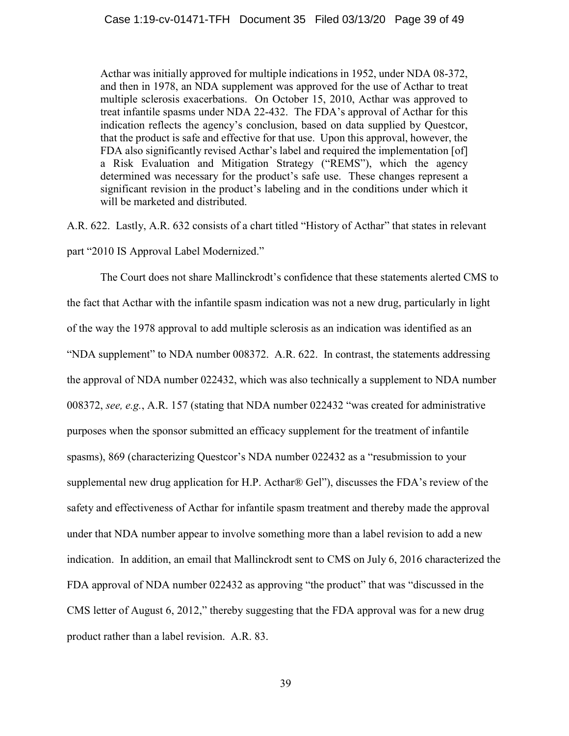Acthar was initially approved for multiple indications in 1952, under NDA 08-372, and then in 1978, an NDA supplement was approved for the use of Acthar to treat multiple sclerosis exacerbations. On October 15, 2010, Acthar was approved to treat infantile spasms under NDA 22-432. The FDA's approval of Acthar for this indication reflects the agency's conclusion, based on data supplied by Questcor, that the product is safe and effective for that use. Upon this approval, however, the FDA also significantly revised Acthar's label and required the implementation [of] a Risk Evaluation and Mitigation Strategy ("REMS"), which the agency determined was necessary for the product's safe use. These changes represent a significant revision in the product's labeling and in the conditions under which it will be marketed and distributed.

A.R. 622. Lastly, A.R. 632 consists of a chart titled "History of Acthar" that states in relevant part "2010 IS Approval Label Modernized."

The Court does not share Mallinckrodt's confidence that these statements alerted CMS to the fact that Acthar with the infantile spasm indication was not a new drug, particularly in light of the way the 1978 approval to add multiple sclerosis as an indication was identified as an "NDA supplement" to NDA number 008372. A.R. 622. In contrast, the statements addressing the approval of NDA number 022432, which was also technically a supplement to NDA number 008372, see, e.g., A.R. 157 (stating that NDA number 022432 "was created for administrative purposes when the sponsor submitted an efficacy supplement for the treatment of infantile spasms), 869 (characterizing Questcor's NDA number 022432 as a "resubmission to your supplemental new drug application for H.P. Acthar® Gel"), discusses the FDA's review of the safety and effectiveness of Acthar for infantile spasm treatment and thereby made the approval under that NDA number appear to involve something more than a label revision to add a new indication. In addition, an email that Mallinckrodt sent to CMS on July 6, 2016 characterized the FDA approval of NDA number 022432 as approving "the product" that was "discussed in the CMS letter of August 6, 2012," thereby suggesting that the FDA approval was for a new drug product rather than a label revision. A.R. 83.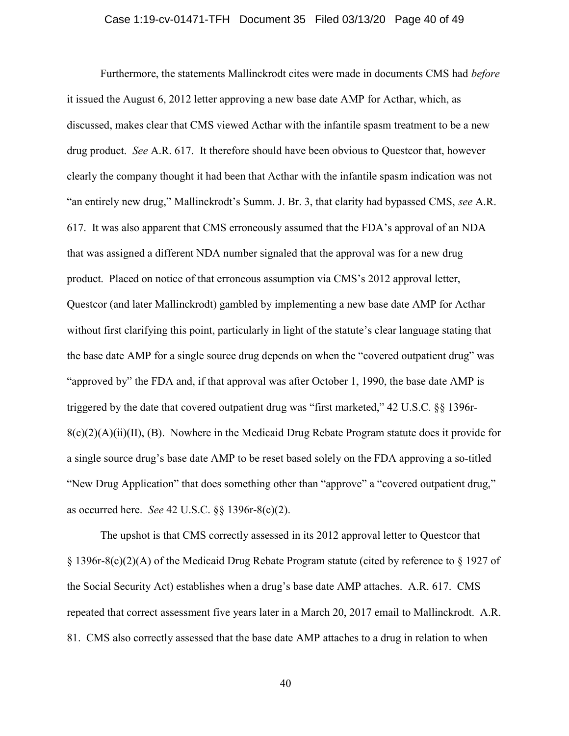### Case 1:19-cv-01471-TFH Document 35 Filed 03/13/20 Page 40 of 49

Furthermore, the statements Mallinckrodt cites were made in documents CMS had before it issued the August 6, 2012 letter approving a new base date AMP for Acthar, which, as discussed, makes clear that CMS viewed Acthar with the infantile spasm treatment to be a new drug product. See A.R. 617. It therefore should have been obvious to Questcor that, however clearly the company thought it had been that Acthar with the infantile spasm indication was not "an entirely new drug," Mallinckrodt's Summ. J. Br. 3, that clarity had bypassed CMS, see A.R. 617. It was also apparent that CMS erroneously assumed that the FDA's approval of an NDA that was assigned a different NDA number signaled that the approval was for a new drug product. Placed on notice of that erroneous assumption via CMS's 2012 approval letter, Questcor (and later Mallinckrodt) gambled by implementing a new base date AMP for Acthar without first clarifying this point, particularly in light of the statute's clear language stating that the base date AMP for a single source drug depends on when the "covered outpatient drug" was "approved by" the FDA and, if that approval was after October 1, 1990, the base date AMP is triggered by the date that covered outpatient drug was "first marketed," 42 U.S.C. §§ 1396r- $8(c)(2)(A)(ii)(II)$ , (B). Nowhere in the Medicaid Drug Rebate Program statute does it provide for a single source drug's base date AMP to be reset based solely on the FDA approving a so-titled "New Drug Application" that does something other than "approve" a "covered outpatient drug," as occurred here. See 42 U.S.C. §§ 1396r-8(c)(2).

The upshot is that CMS correctly assessed in its 2012 approval letter to Questcor that § 1396r-8(c)(2)(A) of the Medicaid Drug Rebate Program statute (cited by reference to § 1927 of the Social Security Act) establishes when a drug's base date AMP attaches. A.R. 617. CMS repeated that correct assessment five years later in a March 20, 2017 email to Mallinckrodt. A.R. 81. CMS also correctly assessed that the base date AMP attaches to a drug in relation to when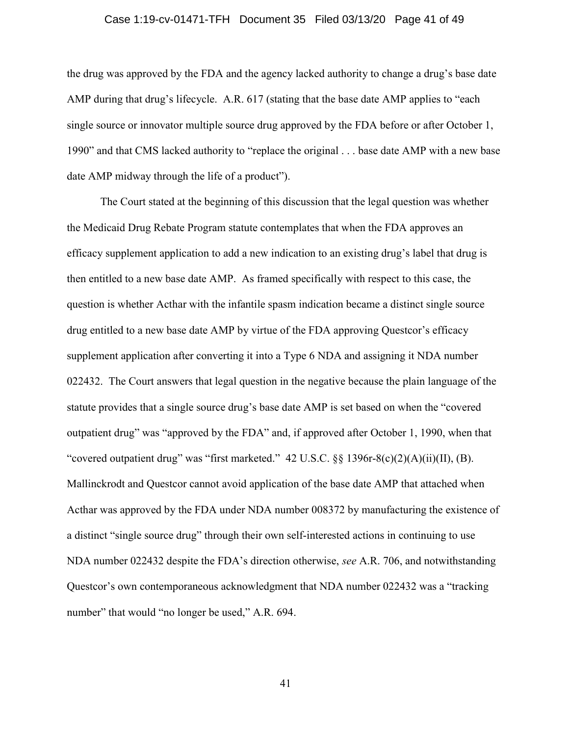### Case 1:19-cv-01471-TFH Document 35 Filed 03/13/20 Page 41 of 49

the drug was approved by the FDA and the agency lacked authority to change a drug's base date AMP during that drug's lifecycle. A.R. 617 (stating that the base date AMP applies to "each single source or innovator multiple source drug approved by the FDA before or after October 1, 1990" and that CMS lacked authority to "replace the original . . . base date AMP with a new base date AMP midway through the life of a product").

The Court stated at the beginning of this discussion that the legal question was whether the Medicaid Drug Rebate Program statute contemplates that when the FDA approves an efficacy supplement application to add a new indication to an existing drug's label that drug is then entitled to a new base date AMP. As framed specifically with respect to this case, the question is whether Acthar with the infantile spasm indication became a distinct single source drug entitled to a new base date AMP by virtue of the FDA approving Questcor's efficacy supplement application after converting it into a Type 6 NDA and assigning it NDA number 022432. The Court answers that legal question in the negative because the plain language of the statute provides that a single source drug's base date AMP is set based on when the "covered outpatient drug" was "approved by the FDA" and, if approved after October 1, 1990, when that "covered outpatient drug" was "first marketed." 42 U.S.C. §§ 1396r-8(c)(2)(A)(ii)(II), (B). Mallinckrodt and Questcor cannot avoid application of the base date AMP that attached when Acthar was approved by the FDA under NDA number 008372 by manufacturing the existence of a distinct "single source drug" through their own self-interested actions in continuing to use NDA number 022432 despite the FDA's direction otherwise, see A.R. 706, and notwithstanding Questcor's own contemporaneous acknowledgment that NDA number 022432 was a "tracking number" that would "no longer be used," A.R. 694.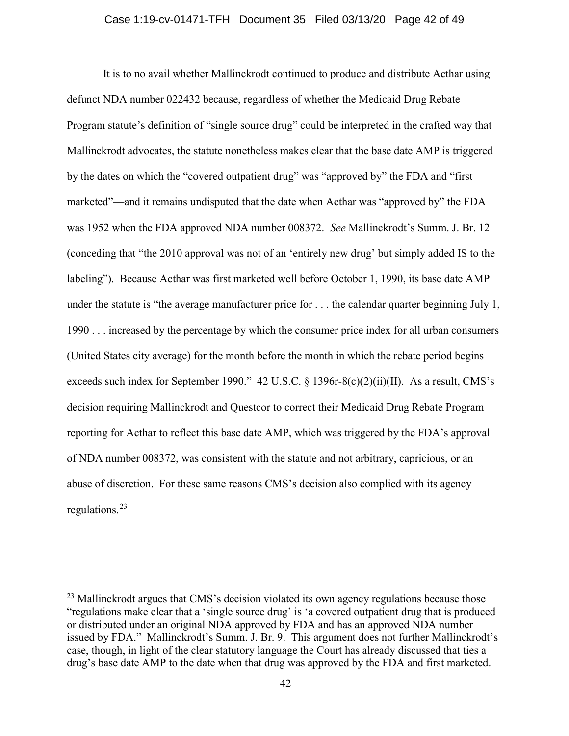#### Case 1:19-cv-01471-TFH Document 35 Filed 03/13/20 Page 42 of 49

It is to no avail whether Mallinckrodt continued to produce and distribute Acthar using defunct NDA number 022432 because, regardless of whether the Medicaid Drug Rebate Program statute's definition of "single source drug" could be interpreted in the crafted way that Mallinckrodt advocates, the statute nonetheless makes clear that the base date AMP is triggered by the dates on which the "covered outpatient drug" was "approved by" the FDA and "first marketed"—and it remains undisputed that the date when Acthar was "approved by" the FDA was 1952 when the FDA approved NDA number 008372. See Mallinckrodt's Summ. J. Br. 12 (conceding that "the 2010 approval was not of an 'entirely new drug' but simply added IS to the labeling"). Because Acthar was first marketed well before October 1, 1990, its base date AMP under the statute is "the average manufacturer price for . . . the calendar quarter beginning July 1, 1990 . . . increased by the percentage by which the consumer price index for all urban consumers (United States city average) for the month before the month in which the rebate period begins exceeds such index for September 1990." 42 U.S.C. § 1396r-8(c)(2)(ii)(II). As a result, CMS's decision requiring Mallinckrodt and Questcor to correct their Medicaid Drug Rebate Program reporting for Acthar to reflect this base date AMP, which was triggered by the FDA's approval of NDA number 008372, was consistent with the statute and not arbitrary, capricious, or an abuse of discretion. For these same reasons CMS's decision also complied with its agency regulations.<sup>23</sup>

<sup>&</sup>lt;sup>23</sup> Mallinckrodt argues that CMS's decision violated its own agency regulations because those "regulations make clear that a 'single source drug' is 'a covered outpatient drug that is produced or distributed under an original NDA approved by FDA and has an approved NDA number issued by FDA." Mallinckrodt's Summ. J. Br. 9. This argument does not further Mallinckrodt's case, though, in light of the clear statutory language the Court has already discussed that ties a drug's base date AMP to the date when that drug was approved by the FDA and first marketed.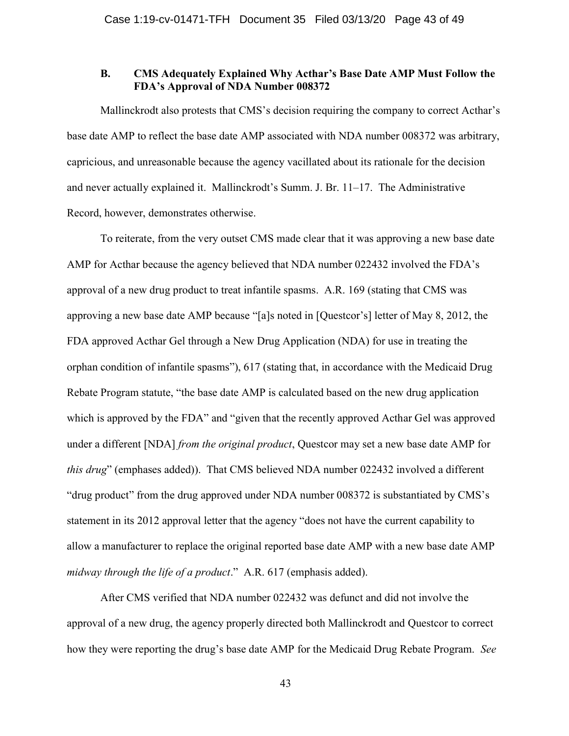## B. CMS Adequately Explained Why Acthar's Base Date AMP Must Follow the FDA's Approval of NDA Number 008372

Mallinckrodt also protests that CMS's decision requiring the company to correct Acthar's base date AMP to reflect the base date AMP associated with NDA number 008372 was arbitrary, capricious, and unreasonable because the agency vacillated about its rationale for the decision and never actually explained it. Mallinckrodt's Summ. J. Br. 11–17. The Administrative Record, however, demonstrates otherwise.

To reiterate, from the very outset CMS made clear that it was approving a new base date AMP for Acthar because the agency believed that NDA number 022432 involved the FDA's approval of a new drug product to treat infantile spasms. A.R. 169 (stating that CMS was approving a new base date AMP because "[a]s noted in [Questcor's] letter of May 8, 2012, the FDA approved Acthar Gel through a New Drug Application (NDA) for use in treating the orphan condition of infantile spasms"), 617 (stating that, in accordance with the Medicaid Drug Rebate Program statute, "the base date AMP is calculated based on the new drug application which is approved by the FDA" and "given that the recently approved Acthar Gel was approved under a different [NDA] *from the original product*, Questcor may set a new base date AMP for this drug" (emphases added)). That CMS believed NDA number 022432 involved a different "drug product" from the drug approved under NDA number 008372 is substantiated by CMS's statement in its 2012 approval letter that the agency "does not have the current capability to allow a manufacturer to replace the original reported base date AMP with a new base date AMP midway through the life of a product." A.R. 617 (emphasis added).

After CMS verified that NDA number 022432 was defunct and did not involve the approval of a new drug, the agency properly directed both Mallinckrodt and Questcor to correct how they were reporting the drug's base date AMP for the Medicaid Drug Rebate Program. See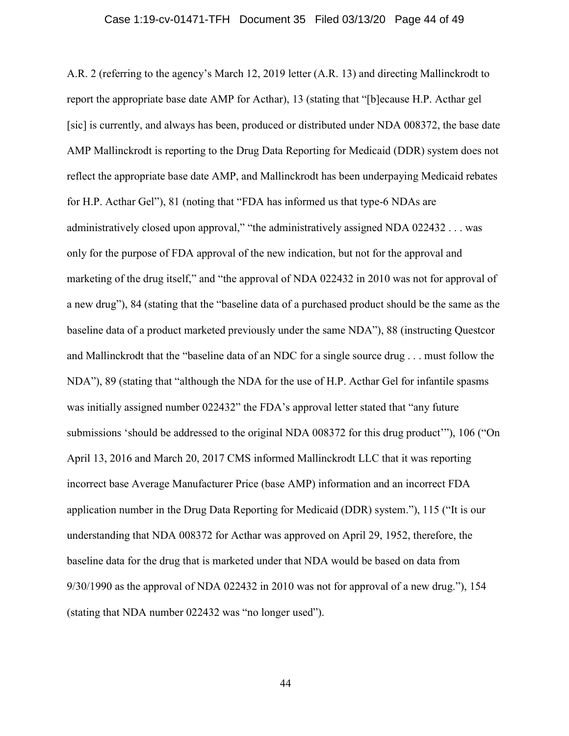### Case 1:19-cv-01471-TFH Document 35 Filed 03/13/20 Page 44 of 49

A.R. 2 (referring to the agency's March 12, 2019 letter (A.R. 13) and directing Mallinckrodt to report the appropriate base date AMP for Acthar), 13 (stating that "[b]ecause H.P. Acthar gel [sic] is currently, and always has been, produced or distributed under NDA 008372, the base date AMP Mallinckrodt is reporting to the Drug Data Reporting for Medicaid (DDR) system does not reflect the appropriate base date AMP, and Mallinckrodt has been underpaying Medicaid rebates for H.P. Acthar Gel"), 81 (noting that "FDA has informed us that type-6 NDAs are administratively closed upon approval," "the administratively assigned NDA 022432 . . . was only for the purpose of FDA approval of the new indication, but not for the approval and marketing of the drug itself," and "the approval of NDA 022432 in 2010 was not for approval of a new drug"), 84 (stating that the "baseline data of a purchased product should be the same as the baseline data of a product marketed previously under the same NDA"), 88 (instructing Questcor and Mallinckrodt that the "baseline data of an NDC for a single source drug . . . must follow the NDA"), 89 (stating that "although the NDA for the use of H.P. Acthar Gel for infantile spasms was initially assigned number 022432" the FDA's approval letter stated that "any future submissions 'should be addressed to the original NDA 008372 for this drug product'"), 106 ("On April 13, 2016 and March 20, 2017 CMS informed Mallinckrodt LLC that it was reporting incorrect base Average Manufacturer Price (base AMP) information and an incorrect FDA application number in the Drug Data Reporting for Medicaid (DDR) system."), 115 ("It is our understanding that NDA 008372 for Acthar was approved on April 29, 1952, therefore, the baseline data for the drug that is marketed under that NDA would be based on data from 9/30/1990 as the approval of NDA 022432 in 2010 was not for approval of a new drug."), 154 (stating that NDA number 022432 was "no longer used").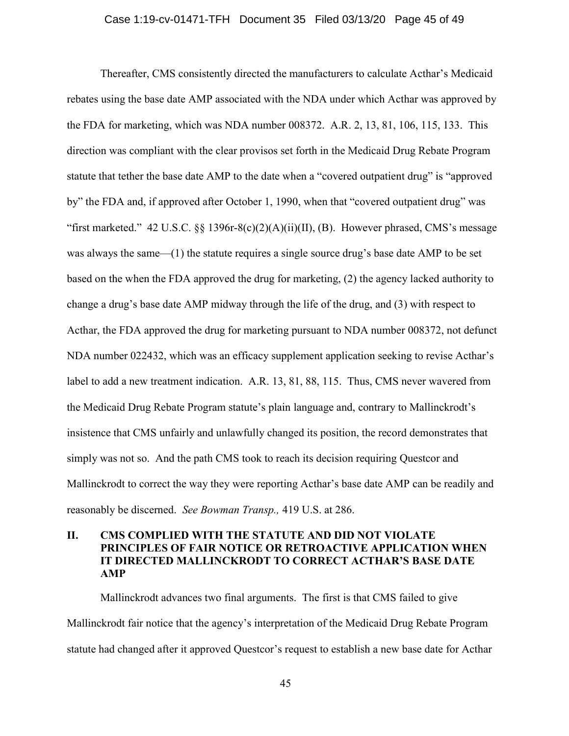#### Case 1:19-cv-01471-TFH Document 35 Filed 03/13/20 Page 45 of 49

Thereafter, CMS consistently directed the manufacturers to calculate Acthar's Medicaid rebates using the base date AMP associated with the NDA under which Acthar was approved by the FDA for marketing, which was NDA number 008372. A.R. 2, 13, 81, 106, 115, 133. This direction was compliant with the clear provisos set forth in the Medicaid Drug Rebate Program statute that tether the base date AMP to the date when a "covered outpatient drug" is "approved by" the FDA and, if approved after October 1, 1990, when that "covered outpatient drug" was "first marketed." 42 U.S.C.  $\S$ § 1396r-8(c)(2)(A)(ii)(II), (B). However phrased, CMS's message was always the same—(1) the statute requires a single source drug's base date AMP to be set based on the when the FDA approved the drug for marketing, (2) the agency lacked authority to change a drug's base date AMP midway through the life of the drug, and (3) with respect to Acthar, the FDA approved the drug for marketing pursuant to NDA number 008372, not defunct NDA number 022432, which was an efficacy supplement application seeking to revise Acthar's label to add a new treatment indication. A.R. 13, 81, 88, 115. Thus, CMS never wavered from the Medicaid Drug Rebate Program statute's plain language and, contrary to Mallinckrodt's insistence that CMS unfairly and unlawfully changed its position, the record demonstrates that simply was not so. And the path CMS took to reach its decision requiring Questcor and Mallinckrodt to correct the way they were reporting Acthar's base date AMP can be readily and reasonably be discerned. See Bowman Transp., 419 U.S. at 286.

# II. CMS COMPLIED WITH THE STATUTE AND DID NOT VIOLATE PRINCIPLES OF FAIR NOTICE OR RETROACTIVE APPLICATION WHEN IT DIRECTED MALLINCKRODT TO CORRECT ACTHAR'S BASE DATE AMP

Mallinckrodt advances two final arguments. The first is that CMS failed to give Mallinckrodt fair notice that the agency's interpretation of the Medicaid Drug Rebate Program statute had changed after it approved Questcor's request to establish a new base date for Acthar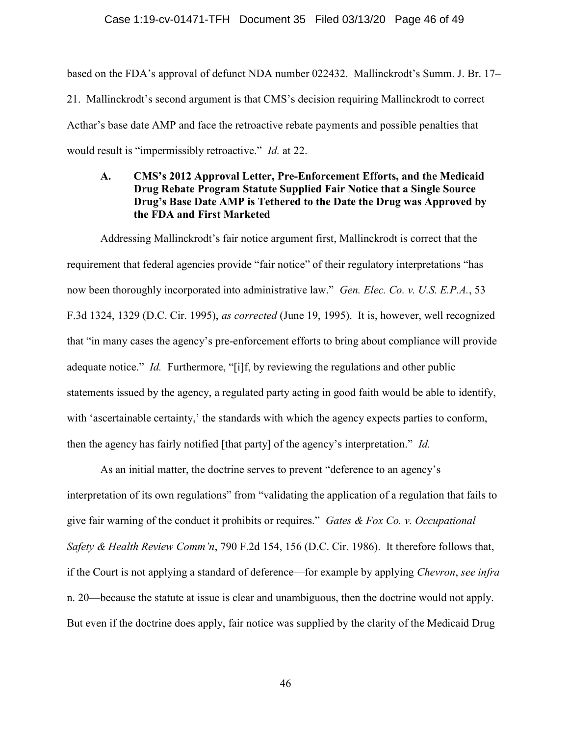### Case 1:19-cv-01471-TFH Document 35 Filed 03/13/20 Page 46 of 49

based on the FDA's approval of defunct NDA number 022432. Mallinckrodt's Summ. J. Br. 17– 21. Mallinckrodt's second argument is that CMS's decision requiring Mallinckrodt to correct Acthar's base date AMP and face the retroactive rebate payments and possible penalties that would result is "impermissibly retroactive." *Id.* at 22.

# A. CMS's 2012 Approval Letter, Pre-Enforcement Efforts, and the Medicaid Drug Rebate Program Statute Supplied Fair Notice that a Single Source Drug's Base Date AMP is Tethered to the Date the Drug was Approved by the FDA and First Marketed

Addressing Mallinckrodt's fair notice argument first, Mallinckrodt is correct that the requirement that federal agencies provide "fair notice" of their regulatory interpretations "has now been thoroughly incorporated into administrative law." *Gen. Elec. Co. v. U.S. E.P.A.*, 53 F.3d 1324, 1329 (D.C. Cir. 1995), as corrected (June 19, 1995). It is, however, well recognized that "in many cases the agency's pre-enforcement efforts to bring about compliance will provide adequate notice." *Id.* Furthermore, "[i]f, by reviewing the regulations and other public statements issued by the agency, a regulated party acting in good faith would be able to identify, with 'ascertainable certainty,' the standards with which the agency expects parties to conform, then the agency has fairly notified [that party] of the agency's interpretation." Id.

As an initial matter, the doctrine serves to prevent "deference to an agency's interpretation of its own regulations" from "validating the application of a regulation that fails to give fair warning of the conduct it prohibits or requires." Gates & Fox Co. v. Occupational Safety & Health Review Comm'n, 790 F.2d 154, 156 (D.C. Cir. 1986). It therefore follows that, if the Court is not applying a standard of deference—for example by applying *Chevron*, see infra n. 20—because the statute at issue is clear and unambiguous, then the doctrine would not apply. But even if the doctrine does apply, fair notice was supplied by the clarity of the Medicaid Drug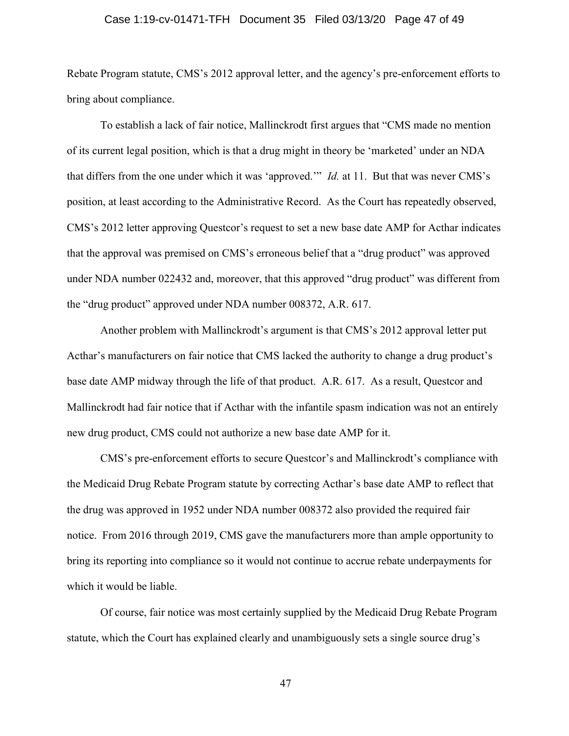### Case 1:19-cv-01471-TFH Document 35 Filed 03/13/20 Page 47 of 49

Rebate Program statute, CMS's 2012 approval letter, and the agency's pre-enforcement efforts to bring about compliance.

To establish a lack of fair notice, Mallinckrodt first argues that "CMS made no mention of its current legal position, which is that a drug might in theory be 'marketed' under an NDA that differs from the one under which it was 'approved.'" Id. at 11. But that was never CMS's position, at least according to the Administrative Record. As the Court has repeatedly observed, CMS's 2012 letter approving Questcor's request to set a new base date AMP for Acthar indicates that the approval was premised on CMS's erroneous belief that a "drug product" was approved under NDA number 022432 and, moreover, that this approved "drug product" was different from the "drug product" approved under NDA number 008372, A.R. 617.

Another problem with Mallinckrodt's argument is that CMS's 2012 approval letter put Acthar's manufacturers on fair notice that CMS lacked the authority to change a drug product's base date AMP midway through the life of that product. A.R. 617. As a result, Questcor and Mallinckrodt had fair notice that if Acthar with the infantile spasm indication was not an entirely new drug product, CMS could not authorize a new base date AMP for it.

CMS's pre-enforcement efforts to secure Questcor's and Mallinckrodt's compliance with the Medicaid Drug Rebate Program statute by correcting Acthar's base date AMP to reflect that the drug was approved in 1952 under NDA number 008372 also provided the required fair notice. From 2016 through 2019, CMS gave the manufacturers more than ample opportunity to bring its reporting into compliance so it would not continue to accrue rebate underpayments for which it would be liable.

Of course, fair notice was most certainly supplied by the Medicaid Drug Rebate Program statute, which the Court has explained clearly and unambiguously sets a single source drug's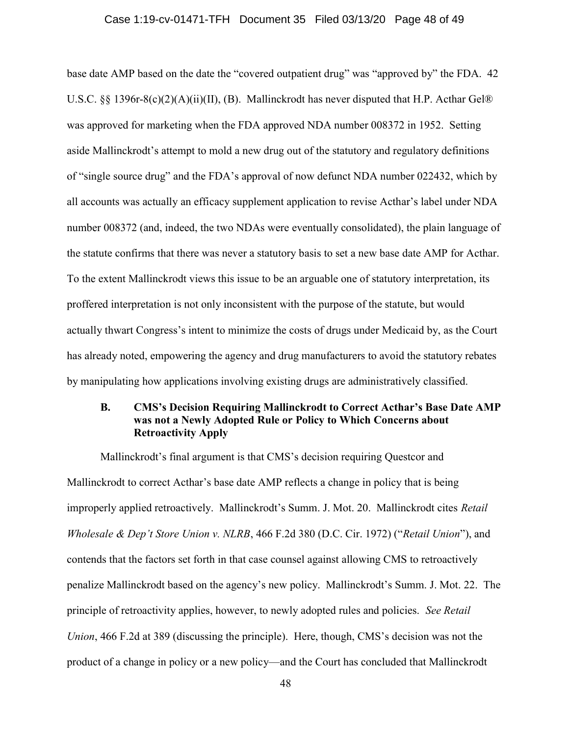### Case 1:19-cv-01471-TFH Document 35 Filed 03/13/20 Page 48 of 49

base date AMP based on the date the "covered outpatient drug" was "approved by" the FDA. 42 U.S.C. §§ 1396r-8(c)(2)(A)(ii)(II), (B). Mallinckrodt has never disputed that H.P. Acthar Gel® was approved for marketing when the FDA approved NDA number 008372 in 1952. Setting aside Mallinckrodt's attempt to mold a new drug out of the statutory and regulatory definitions of "single source drug" and the FDA's approval of now defunct NDA number 022432, which by all accounts was actually an efficacy supplement application to revise Acthar's label under NDA number 008372 (and, indeed, the two NDAs were eventually consolidated), the plain language of the statute confirms that there was never a statutory basis to set a new base date AMP for Acthar. To the extent Mallinckrodt views this issue to be an arguable one of statutory interpretation, its proffered interpretation is not only inconsistent with the purpose of the statute, but would actually thwart Congress's intent to minimize the costs of drugs under Medicaid by, as the Court has already noted, empowering the agency and drug manufacturers to avoid the statutory rebates by manipulating how applications involving existing drugs are administratively classified.

## B. CMS's Decision Requiring Mallinckrodt to Correct Acthar's Base Date AMP was not a Newly Adopted Rule or Policy to Which Concerns about Retroactivity Apply

Mallinckrodt's final argument is that CMS's decision requiring Questcor and Mallinckrodt to correct Acthar's base date AMP reflects a change in policy that is being improperly applied retroactively. Mallinckrodt's Summ. J. Mot. 20. Mallinckrodt cites Retail Wholesale & Dep't Store Union v. NLRB, 466 F.2d 380 (D.C. Cir. 1972) ("Retail Union"), and contends that the factors set forth in that case counsel against allowing CMS to retroactively penalize Mallinckrodt based on the agency's new policy. Mallinckrodt's Summ. J. Mot. 22. The principle of retroactivity applies, however, to newly adopted rules and policies. See Retail Union, 466 F.2d at 389 (discussing the principle). Here, though, CMS's decision was not the product of a change in policy or a new policy—and the Court has concluded that Mallinckrodt